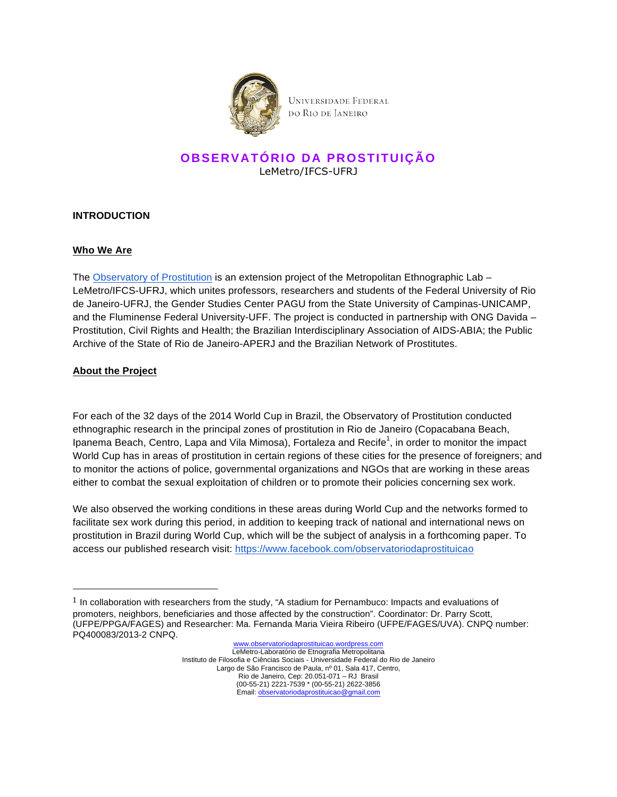

# **OBSERVATÓRIO DA PROSTITUIÇÃO** LeMetro/IFCS-UFRJ

#### **INTRODUCTION**

#### **Who We Are**

The Observatory of Prostitution is an extension project of the Metropolitan Ethnographic Lab -LeMetro/IFCS-UFRJ, which unites professors, researchers and students of the Federal University of Rio de Janeiro-UFRJ, the Gender Studies Center PAGU from the State University of Campinas-UNICAMP, and the Fluminense Federal University-UFF. The project is conducted in partnership with ONG Davida – Prostitution, Civil Rights and Health; the Brazilian Interdisciplinary Association of AIDS-ABIA; the Public Archive of the State of Rio de Janeiro-APERJ and the Brazilian Network of Prostitutes.

#### **About the Project**

!!!!!!!!!!!!!!!!!!!!!!!!!!!!!!!!!!!!!!!!!!!!!!!!!!!!!!!

For each of the 32 days of the 2014 World Cup in Brazil, the Observatory of Prostitution conducted ethnographic research in the principal zones of prostitution in Rio de Janeiro (Copacabana Beach, Ipanema Beach, Centro, Lapa and Vila Mimosa), Fortaleza and Recife<sup>1</sup>, in order to monitor the impact World Cup has in areas of prostitution in certain regions of these cities for the presence of foreigners; and to monitor the actions of police, governmental organizations and NGOs that are working in these areas either to combat the sexual exploitation of children or to promote their policies concerning sex work.

We also observed the working conditions in these areas during World Cup and the networks formed to facilitate sex work during this period, in addition to keeping track of national and international news on prostitution in Brazil during World Cup, which will be the subject of analysis in a forthcoming paper. To access our published research visit: https://www.facebook.com/observatoriodaprostituicao

 $1$  In collaboration with researchers from the study, "A stadium for Pernambuco: Impacts and evaluations of promoters, neighbors, beneficiaries and those affected by the construction". Coordinator: Dr. Parry Scott, (UFPE/PPGA/FAGES) and Researcher: Ma. Fernanda Maria Vieira Ribeiro (UFPE/FAGES/UVA). CNPQ number: PQ400083/2013-2 CNPQ.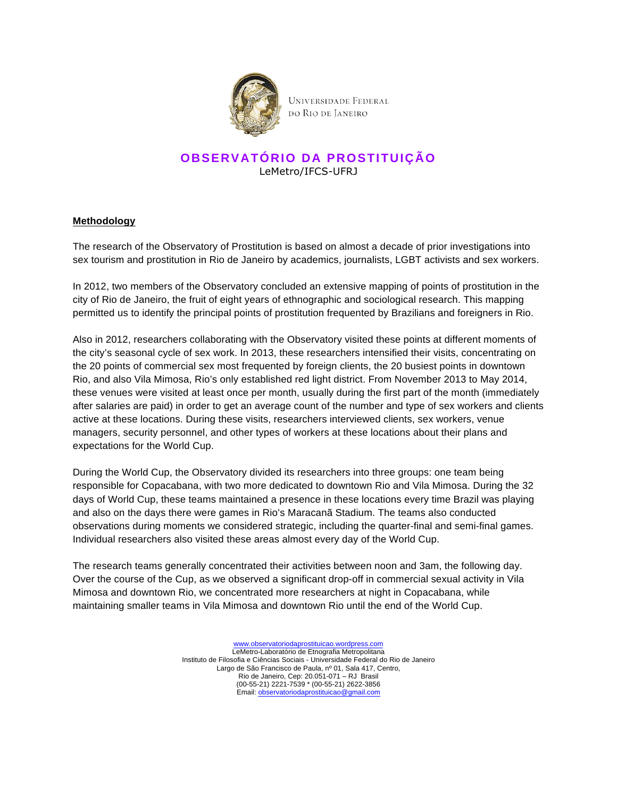

## **OBSERVATÓRIO DA PROSTITUIÇÃO** LeMetro/IFCS-UFRJ

#### **Methodology**

The research of the Observatory of Prostitution is based on almost a decade of prior investigations into sex tourism and prostitution in Rio de Janeiro by academics, journalists, LGBT activists and sex workers.

In 2012, two members of the Observatory concluded an extensive mapping of points of prostitution in the city of Rio de Janeiro, the fruit of eight years of ethnographic and sociological research. This mapping permitted us to identify the principal points of prostitution frequented by Brazilians and foreigners in Rio.

Also in 2012, researchers collaborating with the Observatory visited these points at different moments of the city's seasonal cycle of sex work. In 2013, these researchers intensified their visits, concentrating on the 20 points of commercial sex most frequented by foreign clients, the 20 busiest points in downtown Rio, and also Vila Mimosa, Rio's only established red light district. From November 2013 to May 2014, these venues were visited at least once per month, usually during the first part of the month (immediately after salaries are paid) in order to get an average count of the number and type of sex workers and clients active at these locations. During these visits, researchers interviewed clients, sex workers, venue managers, security personnel, and other types of workers at these locations about their plans and expectations for the World Cup.

During the World Cup, the Observatory divided its researchers into three groups: one team being responsible for Copacabana, with two more dedicated to downtown Rio and Vila Mimosa. During the 32 days of World Cup, these teams maintained a presence in these locations every time Brazil was playing and also on the days there were games in Rio's Maracanã Stadium. The teams also conducted observations during moments we considered strategic, including the quarter-final and semi-final games. Individual researchers also visited these areas almost every day of the World Cup.

The research teams generally concentrated their activities between noon and 3am, the following day. Over the course of the Cup, as we observed a significant drop-off in commercial sexual activity in Vila Mimosa and downtown Rio, we concentrated more researchers at night in Copacabana, while maintaining smaller teams in Vila Mimosa and downtown Rio until the end of the World Cup.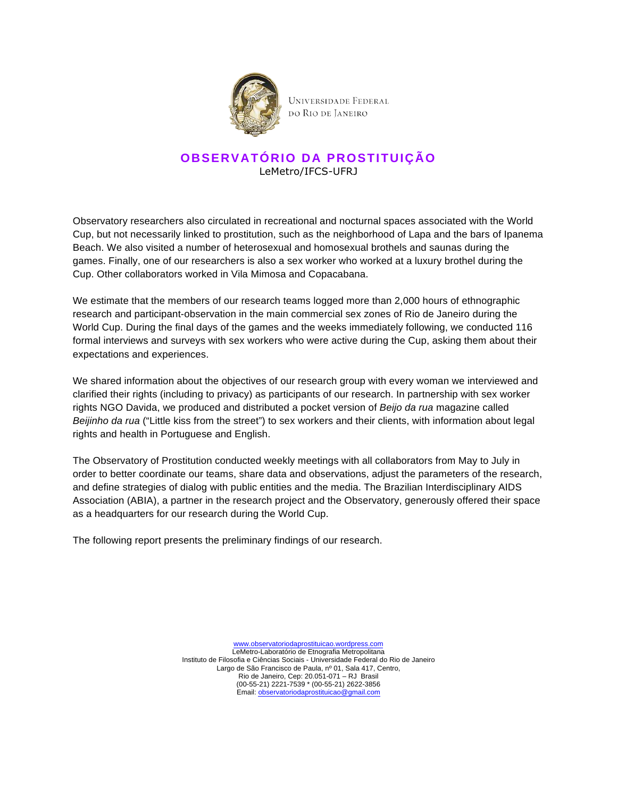

## **OBSERVATÓRIO DA PROSTITUIÇÃO** LeMetro/IFCS-UFRJ

Observatory researchers also circulated in recreational and nocturnal spaces associated with the World Cup, but not necessarily linked to prostitution, such as the neighborhood of Lapa and the bars of Ipanema Beach. We also visited a number of heterosexual and homosexual brothels and saunas during the games. Finally, one of our researchers is also a sex worker who worked at a luxury brothel during the Cup. Other collaborators worked in Vila Mimosa and Copacabana.

We estimate that the members of our research teams logged more than 2,000 hours of ethnographic research and participant-observation in the main commercial sex zones of Rio de Janeiro during the World Cup. During the final days of the games and the weeks immediately following, we conducted 116 formal interviews and surveys with sex workers who were active during the Cup, asking them about their expectations and experiences.

We shared information about the objectives of our research group with every woman we interviewed and clarified their rights (including to privacy) as participants of our research. In partnership with sex worker rights NGO Davida, we produced and distributed a pocket version of Beijo da rua magazine called Beijinho da rua ("Little kiss from the street") to sex workers and their clients, with information about legal rights and health in Portuguese and English.

The Observatory of Prostitution conducted weekly meetings with all collaborators from May to July in order to better coordinate our teams, share data and observations, adjust the parameters of the research, and define strategies of dialog with public entities and the media. The Brazilian Interdisciplinary AIDS Association (ABIA), a partner in the research project and the Observatory, generously offered their space as a headquarters for our research during the World Cup.

The following report presents the preliminary findings of our research.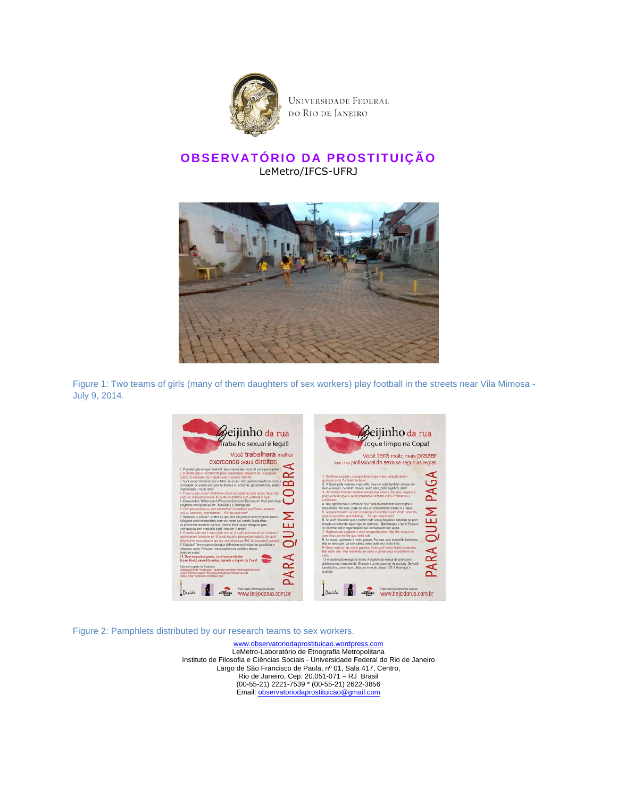

# **OBSERVATÓRIO DA PROSTITUIÇÃO** LeMetro/IFCS-UFRJ



Figure 1: Two teams of girls (many of them daughters of sex workers) play football in the streets near Vila Mimosa - July 9, 2014.



Figure 2: Pamphlets distributed by our research teams to sex workers.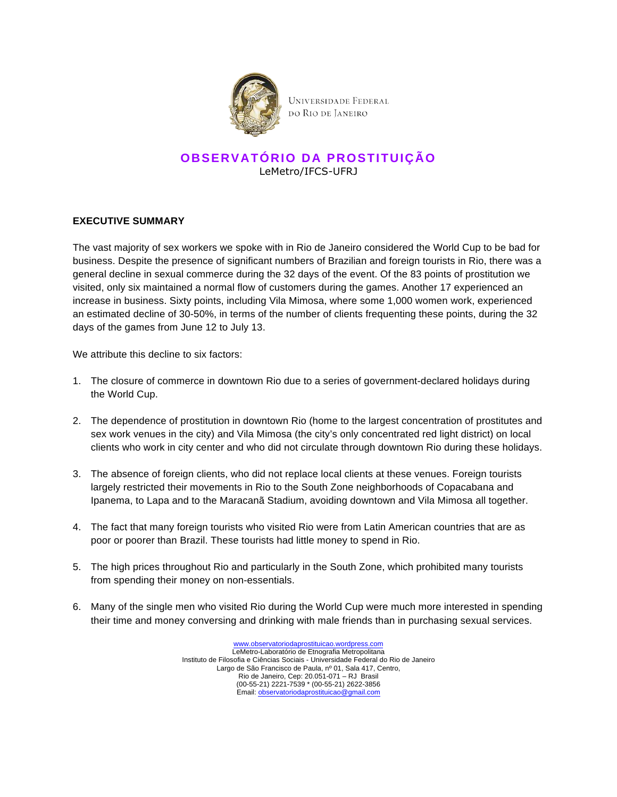

## **OBSERVATÓRIO DA PROSTITUIÇÃO** LeMetro/IFCS-UFRJ

#### **EXECUTIVE SUMMARY**

The vast majority of sex workers we spoke with in Rio de Janeiro considered the World Cup to be bad for business. Despite the presence of significant numbers of Brazilian and foreign tourists in Rio, there was a general decline in sexual commerce during the 32 days of the event. Of the 83 points of prostitution we visited, only six maintained a normal flow of customers during the games. Another 17 experienced an increase in business. Sixty points, including Vila Mimosa, where some 1,000 women work, experienced an estimated decline of 30-50%, in terms of the number of clients frequenting these points, during the 32 days of the games from June 12 to July 13.

We attribute this decline to six factors:

- 1. The closure of commerce in downtown Rio due to a series of government-declared holidays during the World Cup.
- 2. The dependence of prostitution in downtown Rio (home to the largest concentration of prostitutes and sex work venues in the city) and Vila Mimosa (the city's only concentrated red light district) on local clients who work in city center and who did not circulate through downtown Rio during these holidays.
- 3. The absence of foreign clients, who did not replace local clients at these venues. Foreign tourists largely restricted their movements in Rio to the South Zone neighborhoods of Copacabana and Ipanema, to Lapa and to the Maracanã Stadium, avoiding downtown and Vila Mimosa all together.
- 4. The fact that many foreign tourists who visited Rio were from Latin American countries that are as poor or poorer than Brazil. These tourists had little money to spend in Rio.
- 5. The high prices throughout Rio and particularly in the South Zone, which prohibited many tourists from spending their money on non-essentials.
- 6. Many of the single men who visited Rio during the World Cup were much more interested in spending their time and money conversing and drinking with male friends than in purchasing sexual services.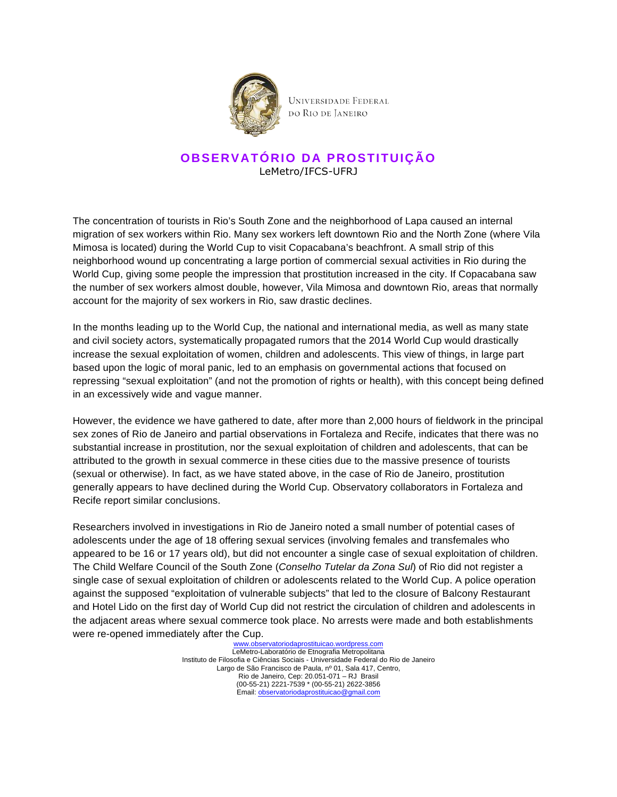

## **OBSERVATÓRIO DA PROSTITUIÇÃO** LeMetro/IFCS-UFRJ

The concentration of tourists in Rio's South Zone and the neighborhood of Lapa caused an internal migration of sex workers within Rio. Many sex workers left downtown Rio and the North Zone (where Vila Mimosa is located) during the World Cup to visit Copacabana's beachfront. A small strip of this neighborhood wound up concentrating a large portion of commercial sexual activities in Rio during the World Cup, giving some people the impression that prostitution increased in the city. If Copacabana saw the number of sex workers almost double, however, Vila Mimosa and downtown Rio, areas that normally account for the majority of sex workers in Rio, saw drastic declines.

In the months leading up to the World Cup, the national and international media, as well as many state and civil society actors, systematically propagated rumors that the 2014 World Cup would drastically increase the sexual exploitation of women, children and adolescents. This view of things, in large part based upon the logic of moral panic, led to an emphasis on governmental actions that focused on repressing "sexual exploitation" (and not the promotion of rights or health), with this concept being defined in an excessively wide and vague manner.

However, the evidence we have gathered to date, after more than 2,000 hours of fieldwork in the principal sex zones of Rio de Janeiro and partial observations in Fortaleza and Recife, indicates that there was no substantial increase in prostitution, nor the sexual exploitation of children and adolescents, that can be attributed to the growth in sexual commerce in these cities due to the massive presence of tourists (sexual or otherwise). In fact, as we have stated above, in the case of Rio de Janeiro, prostitution generally appears to have declined during the World Cup. Observatory collaborators in Fortaleza and Recife report similar conclusions.

Researchers involved in investigations in Rio de Janeiro noted a small number of potential cases of adolescents under the age of 18 offering sexual services (involving females and transfemales who appeared to be 16 or 17 years old), but did not encounter a single case of sexual exploitation of children. The Child Welfare Council of the South Zone (Conselho Tutelar da Zona Sul) of Rio did not register a single case of sexual exploitation of children or adolescents related to the World Cup. A police operation against the supposed "exploitation of vulnerable subjects" that led to the closure of Balcony Restaurant and Hotel Lido on the first day of World Cup did not restrict the circulation of children and adolescents in the adjacent areas where sexual commerce took place. No arrests were made and both establishments were re-opened immediately after the Cup.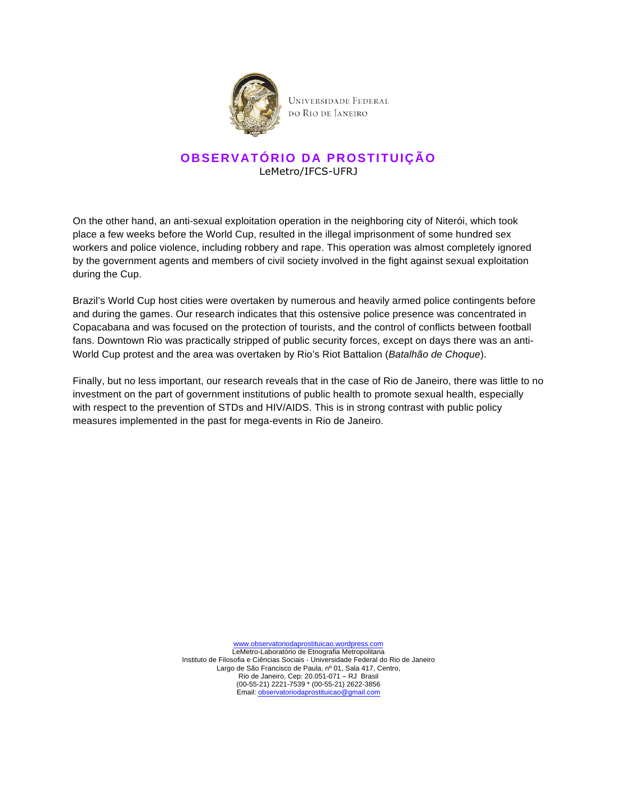

## **OBSERVATÓRIO DA PROSTITUIÇÃO** LeMetro/IFCS-UFRJ

On the other hand, an anti-sexual exploitation operation in the neighboring city of Niterói, which took place a few weeks before the World Cup, resulted in the illegal imprisonment of some hundred sex workers and police violence, including robbery and rape. This operation was almost completely ignored by the government agents and members of civil society involved in the fight against sexual exploitation during the Cup.

Brazil's World Cup host cities were overtaken by numerous and heavily armed police contingents before and during the games. Our research indicates that this ostensive police presence was concentrated in Copacabana and was focused on the protection of tourists, and the control of conflicts between football fans. Downtown Rio was practically stripped of public security forces, except on days there was an anti-World Cup protest and the area was overtaken by Rio's Riot Battalion (Batalhão de Choque).

Finally, but no less important, our research reveals that in the case of Rio de Janeiro, there was little to no investment on the part of government institutions of public health to promote sexual health, especially with respect to the prevention of STDs and HIV/AIDS. This is in strong contrast with public policy measures implemented in the past for mega-events in Rio de Janeiro.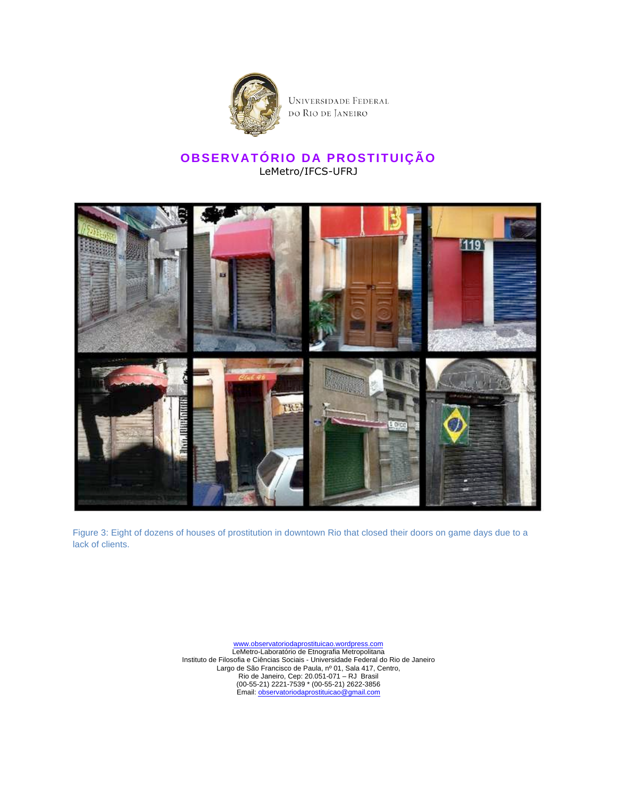

UNIVERSIDADE FEDERAL do Rio de Janeiro

### **OBSERVATÓRIO DA PROSTITUIÇÃO** LeMetro/IFCS-UFRJ



Figure 3: Eight of dozens of houses of prostitution in downtown Rio that closed their doors on game days due to a lack of clients.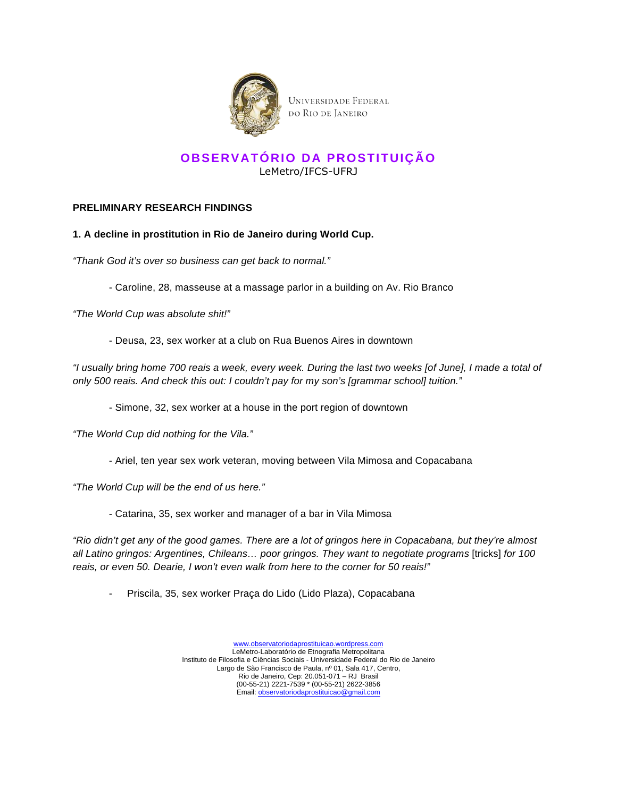

### **OBSERVATÓRIO DA PROSTITUIÇÃO** LeMetro/IFCS-UFRJ

#### **PRELIMINARY RESEARCH FINDINGS**

#### **1. A decline in prostitution in Rio de Janeiro during World Cup.**

"Thank God it's over so business can get back to normal."

- Caroline, 28, masseuse at a massage parlor in a building on Av. Rio Branco

"The World Cup was absolute shit!"

- Deusa, 23, sex worker at a club on Rua Buenos Aires in downtown

"I usually bring home 700 reais a week, every week. During the last two weeks [of June], I made a total of only 500 reais. And check this out: I couldn't pay for my son's [grammar school] tuition."

- Simone, 32, sex worker at a house in the port region of downtown

"The World Cup did nothing for the Vila."

- Ariel, ten year sex work veteran, moving between Vila Mimosa and Copacabana

"The World Cup will be the end of us here."

- Catarina, 35, sex worker and manager of a bar in Vila Mimosa

"Rio didn't get any of the good games. There are a lot of gringos here in Copacabana, but they're almost all Latino gringos: Argentines, Chileans… poor gringos. They want to negotiate programs [tricks] for 100 reais, or even 50. Dearie, I won't even walk from here to the corner for 50 reais!"

Priscila, 35, sex worker Praça do Lido (Lido Plaza), Copacabana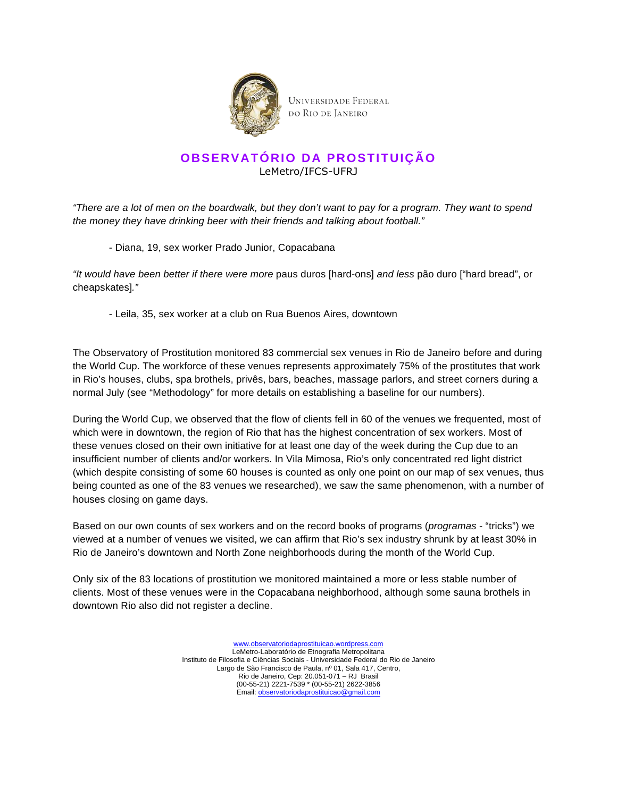

# **OBSERVATÓRIO DA PROSTITUIÇÃO** LeMetro/IFCS-UFRJ

"There are a lot of men on the boardwalk, but they don't want to pay for a program. They want to spend the money they have drinking beer with their friends and talking about football."

- Diana, 19, sex worker Prado Junior, Copacabana

"It would have been better if there were more paus duros [hard-ons] and less pão duro ["hard bread", or cheapskates]."

- Leila, 35, sex worker at a club on Rua Buenos Aires, downtown

The Observatory of Prostitution monitored 83 commercial sex venues in Rio de Janeiro before and during the World Cup. The workforce of these venues represents approximately 75% of the prostitutes that work in Rio's houses, clubs, spa brothels, privês, bars, beaches, massage parlors, and street corners during a normal July (see "Methodology" for more details on establishing a baseline for our numbers).

During the World Cup, we observed that the flow of clients fell in 60 of the venues we frequented, most of which were in downtown, the region of Rio that has the highest concentration of sex workers. Most of these venues closed on their own initiative for at least one day of the week during the Cup due to an insufficient number of clients and/or workers. In Vila Mimosa, Rio's only concentrated red light district (which despite consisting of some 60 houses is counted as only one point on our map of sex venues, thus being counted as one of the 83 venues we researched), we saw the same phenomenon, with a number of houses closing on game days.

Based on our own counts of sex workers and on the record books of programs (programas - "tricks") we viewed at a number of venues we visited, we can affirm that Rio's sex industry shrunk by at least 30% in Rio de Janeiro's downtown and North Zone neighborhoods during the month of the World Cup.

Only six of the 83 locations of prostitution we monitored maintained a more or less stable number of clients. Most of these venues were in the Copacabana neighborhood, although some sauna brothels in downtown Rio also did not register a decline.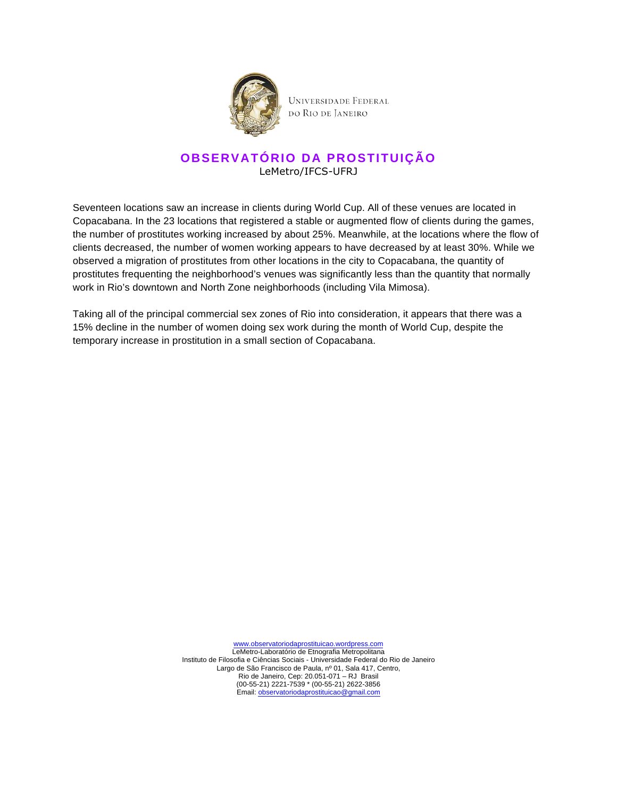

### **OBSERVATÓRIO DA PROSTITUIÇÃO** LeMetro/IFCS-UFRJ

Seventeen locations saw an increase in clients during World Cup. All of these venues are located in Copacabana. In the 23 locations that registered a stable or augmented flow of clients during the games, the number of prostitutes working increased by about 25%. Meanwhile, at the locations where the flow of clients decreased, the number of women working appears to have decreased by at least 30%. While we observed a migration of prostitutes from other locations in the city to Copacabana, the quantity of prostitutes frequenting the neighborhood's venues was significantly less than the quantity that normally work in Rio's downtown and North Zone neighborhoods (including Vila Mimosa).

Taking all of the principal commercial sex zones of Rio into consideration, it appears that there was a 15% decline in the number of women doing sex work during the month of World Cup, despite the temporary increase in prostitution in a small section of Copacabana.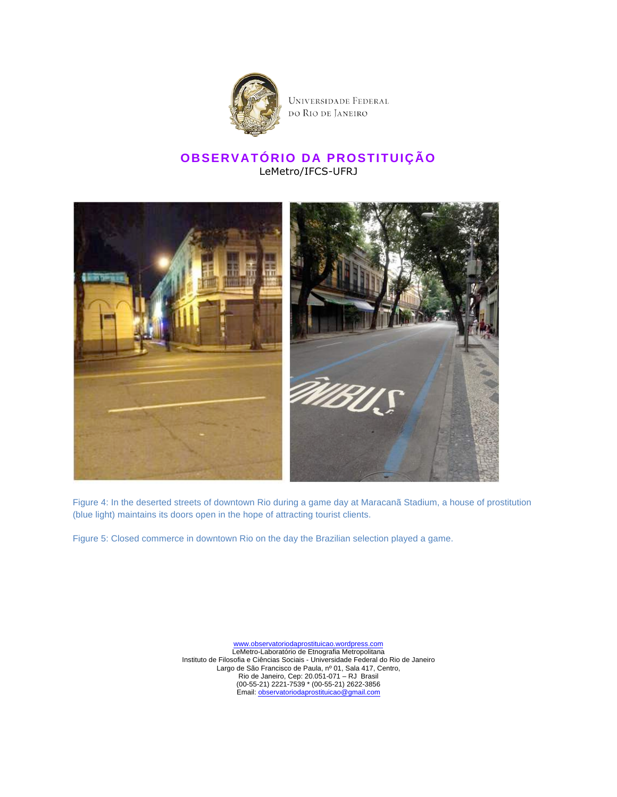

## **OBSERVATÓRIO DA PROSTITUIÇÃO** LeMetro/IFCS-UFRJ



Figure 4: In the deserted streets of downtown Rio during a game day at Maracanã Stadium, a house of prostitution (blue light) maintains its doors open in the hope of attracting tourist clients.

Figure 5: Closed commerce in downtown Rio on the day the Brazilian selection played a game.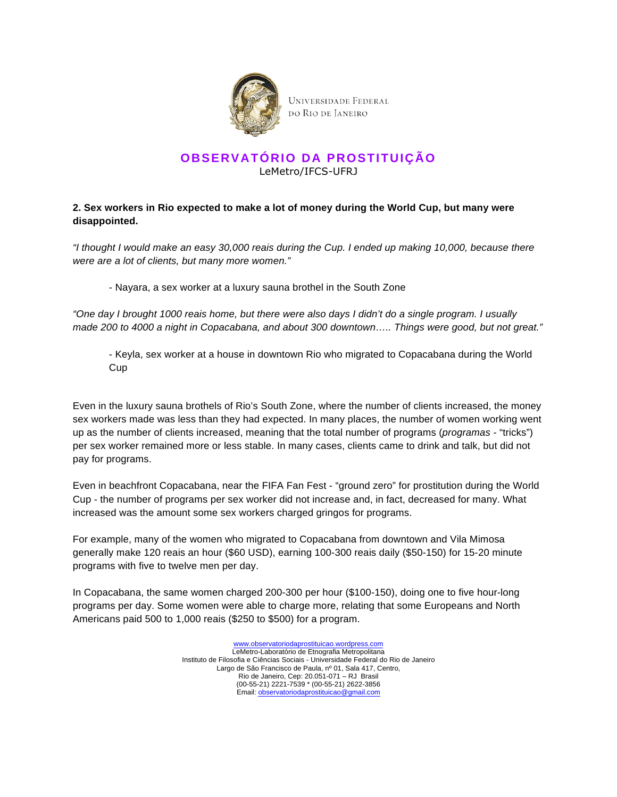

### **OBSERVATÓRIO DA PROSTITUIÇÃO** LeMetro/IFCS-UFRJ

#### **2. Sex workers in Rio expected to make a lot of money during the World Cup, but many were disappointed.**

"I thought I would make an easy 30,000 reais during the Cup. I ended up making 10,000, because there were are a lot of clients, but many more women."

- Nayara, a sex worker at a luxury sauna brothel in the South Zone

"One day I brought 1000 reais home, but there were also days I didn't do a single program. I usually made 200 to 4000 a night in Copacabana, and about 300 downtown….. Things were good, but not great."

- Keyla, sex worker at a house in downtown Rio who migrated to Copacabana during the World Cup

Even in the luxury sauna brothels of Rio's South Zone, where the number of clients increased, the money sex workers made was less than they had expected. In many places, the number of women working went up as the number of clients increased, meaning that the total number of programs (programas - "tricks") per sex worker remained more or less stable. In many cases, clients came to drink and talk, but did not pay for programs.

Even in beachfront Copacabana, near the FIFA Fan Fest - "ground zero" for prostitution during the World Cup - the number of programs per sex worker did not increase and, in fact, decreased for many. What increased was the amount some sex workers charged gringos for programs.

For example, many of the women who migrated to Copacabana from downtown and Vila Mimosa generally make 120 reais an hour (\$60 USD), earning 100-300 reais daily (\$50-150) for 15-20 minute programs with five to twelve men per day.

In Copacabana, the same women charged 200-300 per hour (\$100-150), doing one to five hour-long programs per day. Some women were able to charge more, relating that some Europeans and North Americans paid 500 to 1,000 reais (\$250 to \$500) for a program.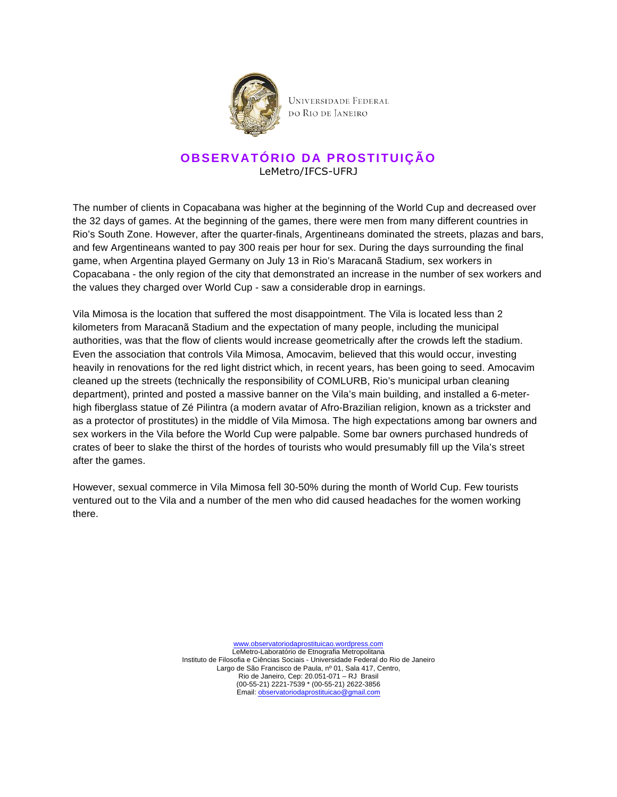

### **OBSERVATÓRIO DA PROSTITUIÇÃO** LeMetro/IFCS-UFRJ

The number of clients in Copacabana was higher at the beginning of the World Cup and decreased over the 32 days of games. At the beginning of the games, there were men from many different countries in Rio's South Zone. However, after the quarter-finals, Argentineans dominated the streets, plazas and bars, and few Argentineans wanted to pay 300 reais per hour for sex. During the days surrounding the final game, when Argentina played Germany on July 13 in Rio's Maracanã Stadium, sex workers in Copacabana - the only region of the city that demonstrated an increase in the number of sex workers and the values they charged over World Cup - saw a considerable drop in earnings.

Vila Mimosa is the location that suffered the most disappointment. The Vila is located less than 2 kilometers from Maracanã Stadium and the expectation of many people, including the municipal authorities, was that the flow of clients would increase geometrically after the crowds left the stadium. Even the association that controls Vila Mimosa, Amocavim, believed that this would occur, investing heavily in renovations for the red light district which, in recent years, has been going to seed. Amocavim cleaned up the streets (technically the responsibility of COMLURB, Rio's municipal urban cleaning department), printed and posted a massive banner on the Vila's main building, and installed a 6-meterhigh fiberglass statue of Zé Pilintra (a modern avatar of Afro-Brazilian religion, known as a trickster and as a protector of prostitutes) in the middle of Vila Mimosa. The high expectations among bar owners and sex workers in the Vila before the World Cup were palpable. Some bar owners purchased hundreds of crates of beer to slake the thirst of the hordes of tourists who would presumably fill up the Vila's street after the games.

However, sexual commerce in Vila Mimosa fell 30-50% during the month of World Cup. Few tourists ventured out to the Vila and a number of the men who did caused headaches for the women working there.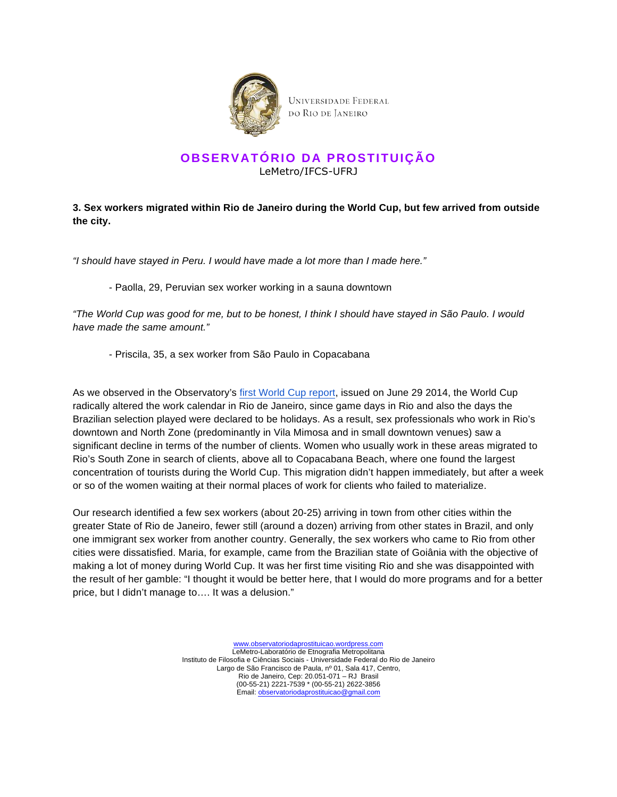

## **OBSERVATÓRIO DA PROSTITUIÇÃO** LeMetro/IFCS-UFRJ

### **3. Sex workers migrated within Rio de Janeiro during the World Cup, but few arrived from outside the city.**

"I should have stayed in Peru. I would have made a lot more than I made here."

#### - Paolla, 29, Peruvian sex worker working in a sauna downtown

"The World Cup was good for me, but to be honest, I think I should have stayed in São Paulo. I would have made the same amount."

- Priscila, 35, a sex worker from São Paulo in Copacabana

As we observed in the Observatory's first World Cup report, issued on June 29 2014, the World Cup radically altered the work calendar in Rio de Janeiro, since game days in Rio and also the days the Brazilian selection played were declared to be holidays. As a result, sex professionals who work in Rio's downtown and North Zone (predominantly in Vila Mimosa and in small downtown venues) saw a significant decline in terms of the number of clients. Women who usually work in these areas migrated to Rio's South Zone in search of clients, above all to Copacabana Beach, where one found the largest concentration of tourists during the World Cup. This migration didn't happen immediately, but after a week or so of the women waiting at their normal places of work for clients who failed to materialize.

Our research identified a few sex workers (about 20-25) arriving in town from other cities within the greater State of Rio de Janeiro, fewer still (around a dozen) arriving from other states in Brazil, and only one immigrant sex worker from another country. Generally, the sex workers who came to Rio from other cities were dissatisfied. Maria, for example, came from the Brazilian state of Goiânia with the objective of making a lot of money during World Cup. It was her first time visiting Rio and she was disappointed with the result of her gamble: "I thought it would be better here, that I would do more programs and for a better price, but I didn't manage to…. It was a delusion."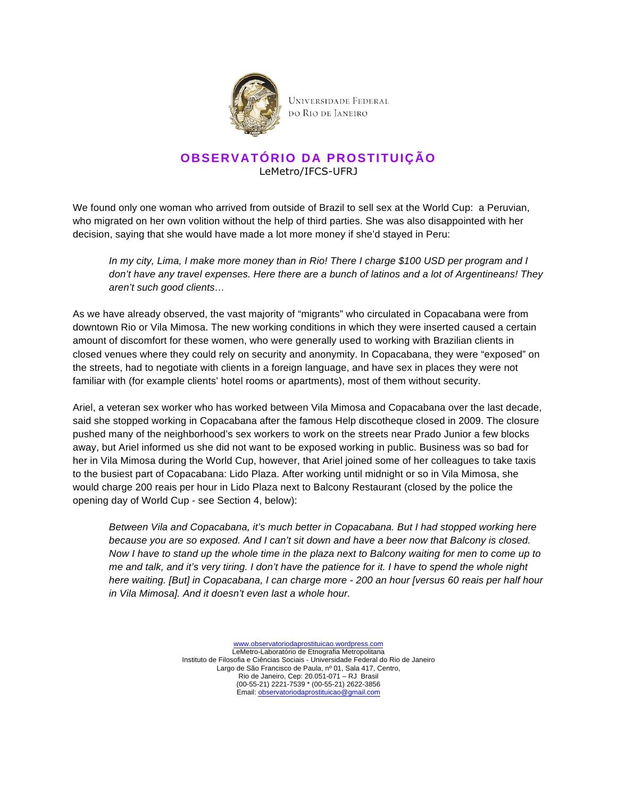

# **OBSERVATÓRIO DA PROSTITUIÇÃO** LeMetro/IFCS-UFRJ

We found only one woman who arrived from outside of Brazil to sell sex at the World Cup: a Peruvian, who migrated on her own volition without the help of third parties. She was also disappointed with her decision, saying that she would have made a lot more money if she'd stayed in Peru:

In my city, Lima, I make more money than in Rio! There I charge \$100 USD per program and I don't have any travel expenses. Here there are a bunch of latinos and a lot of Argentineans! They aren't such good clients…

As we have already observed, the vast majority of "migrants" who circulated in Copacabana were from downtown Rio or Vila Mimosa. The new working conditions in which they were inserted caused a certain amount of discomfort for these women, who were generally used to working with Brazilian clients in closed venues where they could rely on security and anonymity. In Copacabana, they were "exposed" on the streets, had to negotiate with clients in a foreign language, and have sex in places they were not familiar with (for example clients' hotel rooms or apartments), most of them without security.

Ariel, a veteran sex worker who has worked between Vila Mimosa and Copacabana over the last decade, said she stopped working in Copacabana after the famous Help discotheque closed in 2009. The closure pushed many of the neighborhood's sex workers to work on the streets near Prado Junior a few blocks away, but Ariel informed us she did not want to be exposed working in public. Business was so bad for her in Vila Mimosa during the World Cup, however, that Ariel joined some of her colleagues to take taxis to the busiest part of Copacabana: Lido Plaza. After working until midnight or so in Vila Mimosa, she would charge 200 reais per hour in Lido Plaza next to Balcony Restaurant (closed by the police the opening day of World Cup - see Section 4, below):

Between Vila and Copacabana, it's much better in Copacabana. But I had stopped working here because you are so exposed. And I can't sit down and have a beer now that Balcony is closed. Now I have to stand up the whole time in the plaza next to Balcony waiting for men to come up to me and talk, and it's very tiring. I don't have the patience for it. I have to spend the whole night here waiting. [But] in Copacabana, I can charge more - 200 an hour [versus 60 reais per half hour in Vila Mimosa]. And it doesn't even last a whole hour.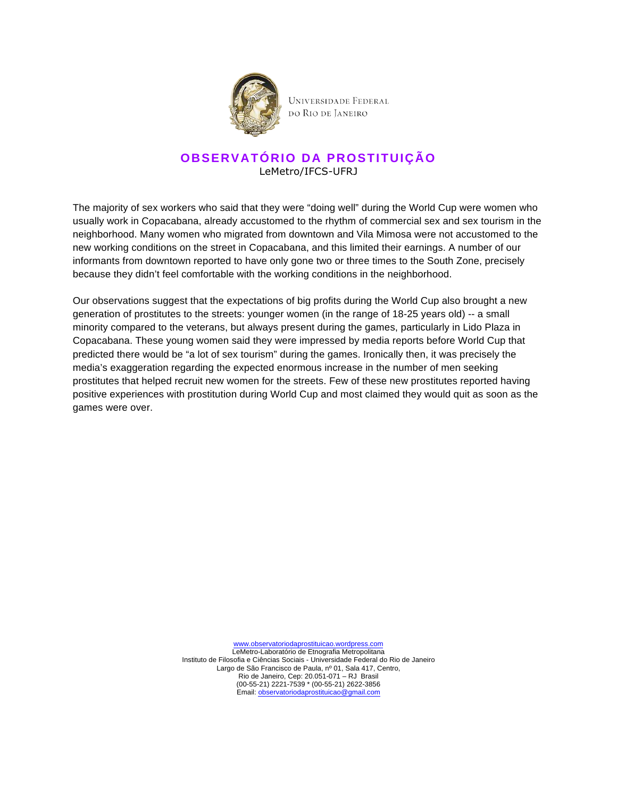

### **OBSERVATÓRIO DA PROSTITUIÇÃO** LeMetro/IFCS-UFRJ

The majority of sex workers who said that they were "doing well" during the World Cup were women who usually work in Copacabana, already accustomed to the rhythm of commercial sex and sex tourism in the neighborhood. Many women who migrated from downtown and Vila Mimosa were not accustomed to the new working conditions on the street in Copacabana, and this limited their earnings. A number of our informants from downtown reported to have only gone two or three times to the South Zone, precisely because they didn't feel comfortable with the working conditions in the neighborhood.

Our observations suggest that the expectations of big profits during the World Cup also brought a new generation of prostitutes to the streets: younger women (in the range of 18-25 years old) -- a small minority compared to the veterans, but always present during the games, particularly in Lido Plaza in Copacabana. These young women said they were impressed by media reports before World Cup that predicted there would be "a lot of sex tourism" during the games. Ironically then, it was precisely the media's exaggeration regarding the expected enormous increase in the number of men seeking prostitutes that helped recruit new women for the streets. Few of these new prostitutes reported having positive experiences with prostitution during World Cup and most claimed they would quit as soon as the games were over.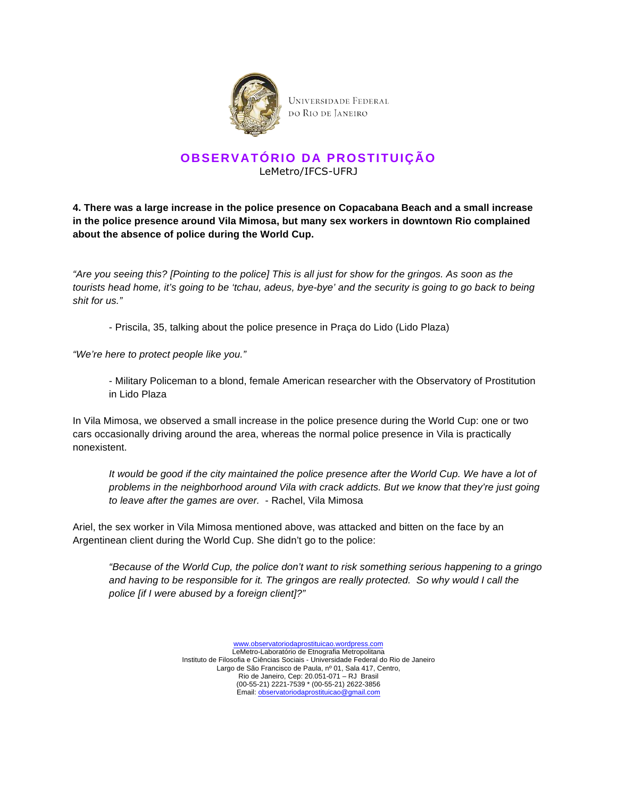

### **OBSERVATÓRIO DA PROSTITUIÇÃO** LeMetro/IFCS-UFRJ

**4. There was a large increase in the police presence on Copacabana Beach and a small increase in the police presence around Vila Mimosa, but many sex workers in downtown Rio complained about the absence of police during the World Cup.** 

"Are you seeing this? [Pointing to the police] This is all just for show for the gringos. As soon as the tourists head home, it's going to be 'tchau, adeus, bye-bye' and the security is going to go back to being shit for us."

- Priscila, 35, talking about the police presence in Praça do Lido (Lido Plaza)

"We're here to protect people like you."

- Military Policeman to a blond, female American researcher with the Observatory of Prostitution in Lido Plaza

In Vila Mimosa, we observed a small increase in the police presence during the World Cup: one or two cars occasionally driving around the area, whereas the normal police presence in Vila is practically nonexistent.

It would be good if the city maintained the police presence after the World Cup. We have a lot of problems in the neighborhood around Vila with crack addicts. But we know that they're just going to leave after the games are over. - Rachel, Vila Mimosa

Ariel, the sex worker in Vila Mimosa mentioned above, was attacked and bitten on the face by an Argentinean client during the World Cup. She didn't go to the police:

"Because of the World Cup, the police don't want to risk something serious happening to a gringo and having to be responsible for it. The gringos are really protected. So why would I call the police [if I were abused by a foreign client]?"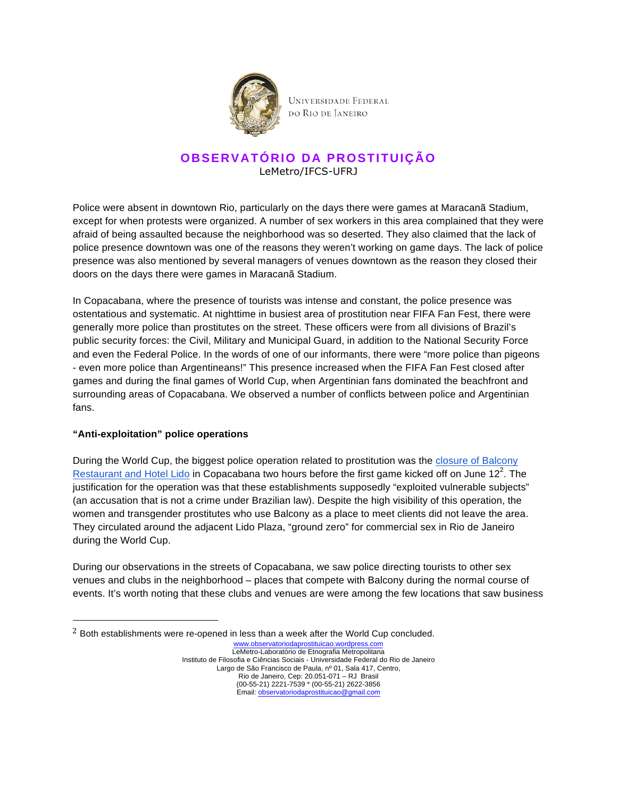

## **OBSERVATÓRIO DA PROSTITUIÇÃO** LeMetro/IFCS-UFRJ

Police were absent in downtown Rio, particularly on the days there were games at Maracanã Stadium, except for when protests were organized. A number of sex workers in this area complained that they were afraid of being assaulted because the neighborhood was so deserted. They also claimed that the lack of police presence downtown was one of the reasons they weren't working on game days. The lack of police presence was also mentioned by several managers of venues downtown as the reason they closed their doors on the days there were games in Maracanã Stadium.

In Copacabana, where the presence of tourists was intense and constant, the police presence was ostentatious and systematic. At nighttime in busiest area of prostitution near FIFA Fan Fest, there were generally more police than prostitutes on the street. These officers were from all divisions of Brazil's public security forces: the Civil, Military and Municipal Guard, in addition to the National Security Force and even the Federal Police. In the words of one of our informants, there were "more police than pigeons - even more police than Argentineans!" This presence increased when the FIFA Fan Fest closed after games and during the final games of World Cup, when Argentinian fans dominated the beachfront and surrounding areas of Copacabana. We observed a number of conflicts between police and Argentinian fans.

#### **"Anti-exploitation" police operations**

!!!!!!!!!!!!!!!!!!!!!!!!!!!!!!!!!!!!!!!!!!!!!!!!!!!!!!!

During the World Cup, the biggest police operation related to prostitution was the closure of Balcony Restaurant and Hotel Lido in Copacabana two hours before the first game kicked off on June 12<sup>2</sup>. The justification for the operation was that these establishments supposedly "exploited vulnerable subjects" (an accusation that is not a crime under Brazilian law). Despite the high visibility of this operation, the women and transgender prostitutes who use Balcony as a place to meet clients did not leave the area. They circulated around the adjacent Lido Plaza, "ground zero" for commercial sex in Rio de Janeiro during the World Cup.

During our observations in the streets of Copacabana, we saw police directing tourists to other sex venues and clubs in the neighborhood – places that compete with Balcony during the normal course of events. It's worth noting that these clubs and venues are were among the few locations that saw business

www.observatoriodaprostituicao.wordpress.com LeMetro-Laboratório de Etnografia Metropolitana Instituto de Filosofia e Ciências Sociais - Universidade Federal do Rio de Janeiro Largo de São Francisco de Paula, nº 01, Sala 417, Centro, Rio de Janeiro, Cep: 20.051-071 – RJ Brasil (00-55-21) 2221-7539 \* (00-55-21) 2622-3856 Email: observatoriodaprostituicao@gmail.com  $2$  Both establishments were re-opened in less than a week after the World Cup concluded.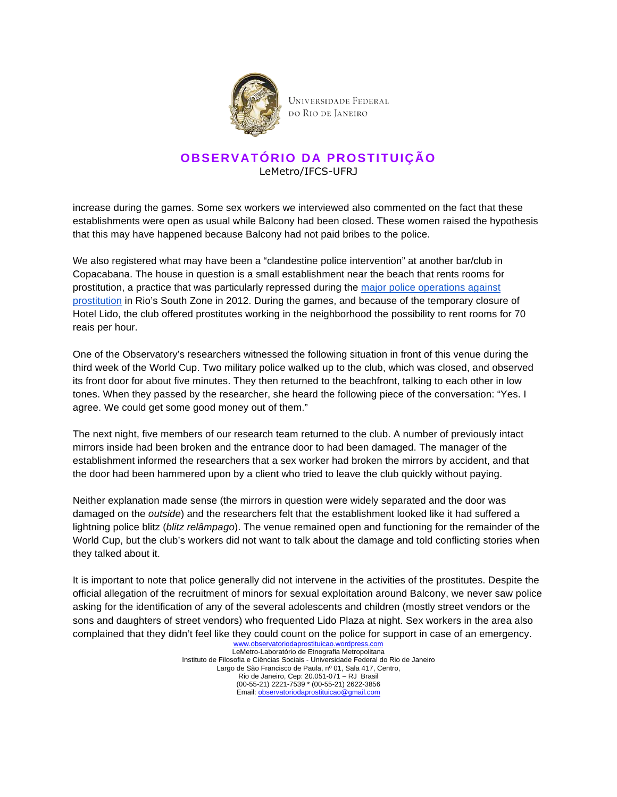

## **OBSERVATÓRIO DA PROSTITUIÇÃO** LeMetro/IFCS-UFRJ

increase during the games. Some sex workers we interviewed also commented on the fact that these establishments were open as usual while Balcony had been closed. These women raised the hypothesis that this may have happened because Balcony had not paid bribes to the police.

We also registered what may have been a "clandestine police intervention" at another bar/club in Copacabana. The house in question is a small establishment near the beach that rents rooms for prostitution, a practice that was particularly repressed during the major police operations against prostitution in Rio's South Zone in 2012. During the games, and because of the temporary closure of Hotel Lido, the club offered prostitutes working in the neighborhood the possibility to rent rooms for 70 reais per hour.

One of the Observatory's researchers witnessed the following situation in front of this venue during the third week of the World Cup. Two military police walked up to the club, which was closed, and observed its front door for about five minutes. They then returned to the beachfront, talking to each other in low tones. When they passed by the researcher, she heard the following piece of the conversation: "Yes. I agree. We could get some good money out of them."

The next night, five members of our research team returned to the club. A number of previously intact mirrors inside had been broken and the entrance door to had been damaged. The manager of the establishment informed the researchers that a sex worker had broken the mirrors by accident, and that the door had been hammered upon by a client who tried to leave the club quickly without paying.

Neither explanation made sense (the mirrors in question were widely separated and the door was damaged on the outside) and the researchers felt that the establishment looked like it had suffered a lightning police blitz (blitz relâmpago). The venue remained open and functioning for the remainder of the World Cup, but the club's workers did not want to talk about the damage and told conflicting stories when they talked about it.

It is important to note that police generally did not intervene in the activities of the prostitutes. Despite the official allegation of the recruitment of minors for sexual exploitation around Balcony, we never saw police asking for the identification of any of the several adolescents and children (mostly street vendors or the sons and daughters of street vendors) who frequented Lido Plaza at night. Sex workers in the area also complained that they didn't feel like they could count on the police for support in case of an emergency.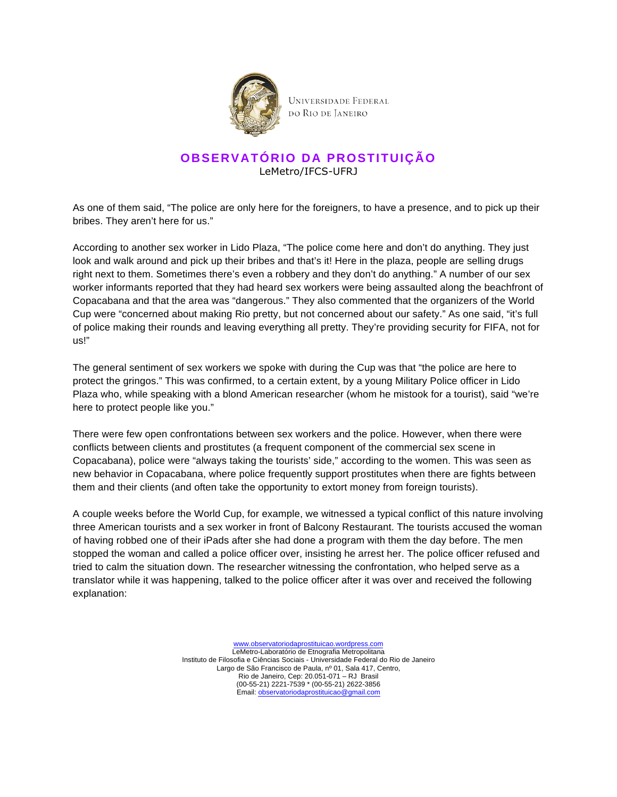

## **OBSERVATÓRIO DA PROSTITUIÇÃO** LeMetro/IFCS-UFRJ

As one of them said, "The police are only here for the foreigners, to have a presence, and to pick up their bribes. They aren't here for us."

According to another sex worker in Lido Plaza, "The police come here and don't do anything. They just look and walk around and pick up their bribes and that's it! Here in the plaza, people are selling drugs right next to them. Sometimes there's even a robbery and they don't do anything." A number of our sex worker informants reported that they had heard sex workers were being assaulted along the beachfront of Copacabana and that the area was "dangerous." They also commented that the organizers of the World Cup were "concerned about making Rio pretty, but not concerned about our safety." As one said, "it's full of police making their rounds and leaving everything all pretty. They're providing security for FIFA, not for us!"

The general sentiment of sex workers we spoke with during the Cup was that "the police are here to protect the gringos." This was confirmed, to a certain extent, by a young Military Police officer in Lido Plaza who, while speaking with a blond American researcher (whom he mistook for a tourist), said "we're here to protect people like you."

There were few open confrontations between sex workers and the police. However, when there were conflicts between clients and prostitutes (a frequent component of the commercial sex scene in Copacabana), police were "always taking the tourists' side," according to the women. This was seen as new behavior in Copacabana, where police frequently support prostitutes when there are fights between them and their clients (and often take the opportunity to extort money from foreign tourists).

A couple weeks before the World Cup, for example, we witnessed a typical conflict of this nature involving three American tourists and a sex worker in front of Balcony Restaurant. The tourists accused the woman of having robbed one of their iPads after she had done a program with them the day before. The men stopped the woman and called a police officer over, insisting he arrest her. The police officer refused and tried to calm the situation down. The researcher witnessing the confrontation, who helped serve as a translator while it was happening, talked to the police officer after it was over and received the following explanation: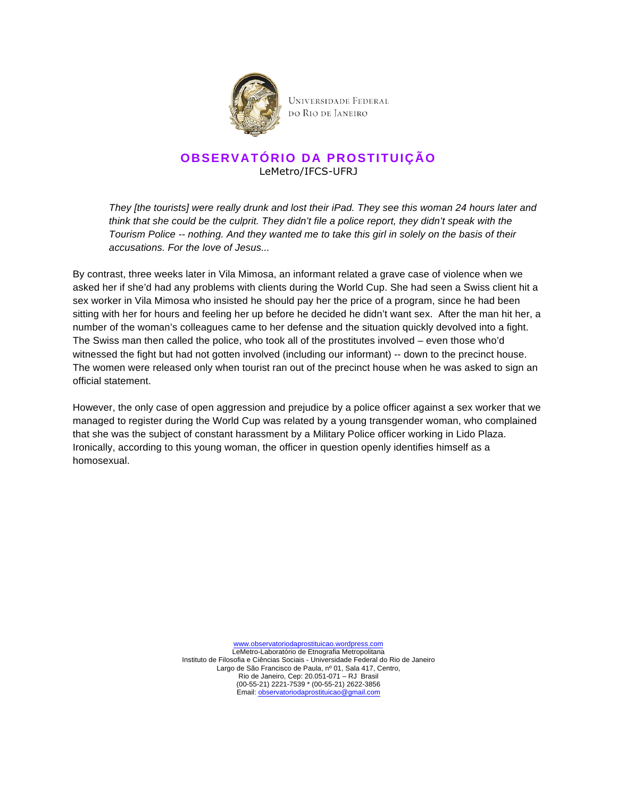

## **OBSERVATÓRIO DA PROSTITUIÇÃO** LeMetro/IFCS-UFRJ

They [the tourists] were really drunk and lost their iPad. They see this woman 24 hours later and think that she could be the culprit. They didn't file a police report, they didn't speak with the Tourism Police -- nothing. And they wanted me to take this girl in solely on the basis of their accusations. For the love of Jesus...

By contrast, three weeks later in Vila Mimosa, an informant related a grave case of violence when we asked her if she'd had any problems with clients during the World Cup. She had seen a Swiss client hit a sex worker in Vila Mimosa who insisted he should pay her the price of a program, since he had been sitting with her for hours and feeling her up before he decided he didn't want sex. After the man hit her, a number of the woman's colleagues came to her defense and the situation quickly devolved into a fight. The Swiss man then called the police, who took all of the prostitutes involved – even those who'd witnessed the fight but had not gotten involved (including our informant) -- down to the precinct house. The women were released only when tourist ran out of the precinct house when he was asked to sign an official statement.

However, the only case of open aggression and prejudice by a police officer against a sex worker that we managed to register during the World Cup was related by a young transgender woman, who complained that she was the subject of constant harassment by a Military Police officer working in Lido Plaza. Ironically, according to this young woman, the officer in question openly identifies himself as a homosexual.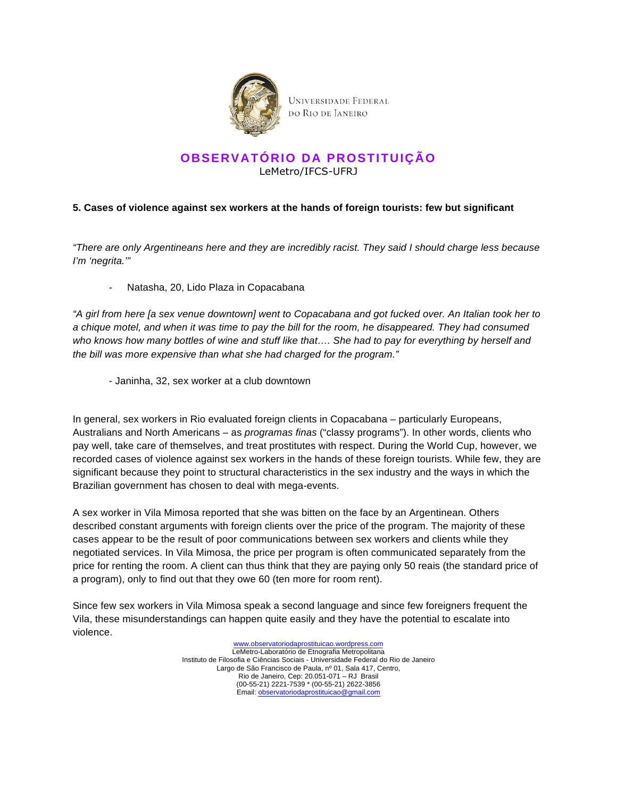

## **OBSERVATÓRIO DA PROSTITUIÇÃO** LeMetro/IFCS-UFRJ

#### **5. Cases of violence against sex workers at the hands of foreign tourists: few but significant**

"There are only Argentineans here and they are incredibly racist. They said I should charge less because I'm 'negrita.'"

- Natasha, 20, Lido Plaza in Copacabana

"A girl from here [a sex venue downtown] went to Copacabana and got fucked over. An Italian took her to a chique motel, and when it was time to pay the bill for the room, he disappeared. They had consumed who knows how many bottles of wine and stuff like that.... She had to pay for everything by herself and the bill was more expensive than what she had charged for the program."

- Janinha, 32, sex worker at a club downtown

In general, sex workers in Rio evaluated foreign clients in Copacabana – particularly Europeans, Australians and North Americans – as programas finas ("classy programs"). In other words, clients who pay well, take care of themselves, and treat prostitutes with respect. During the World Cup, however, we recorded cases of violence against sex workers in the hands of these foreign tourists. While few, they are significant because they point to structural characteristics in the sex industry and the ways in which the Brazilian government has chosen to deal with mega-events.

A sex worker in Vila Mimosa reported that she was bitten on the face by an Argentinean. Others described constant arguments with foreign clients over the price of the program. The majority of these cases appear to be the result of poor communications between sex workers and clients while they negotiated services. In Vila Mimosa, the price per program is often communicated separately from the price for renting the room. A client can thus think that they are paying only 50 reais (the standard price of a program), only to find out that they owe 60 (ten more for room rent).

Since few sex workers in Vila Mimosa speak a second language and since few foreigners frequent the Vila, these misunderstandings can happen quite easily and they have the potential to escalate into violence.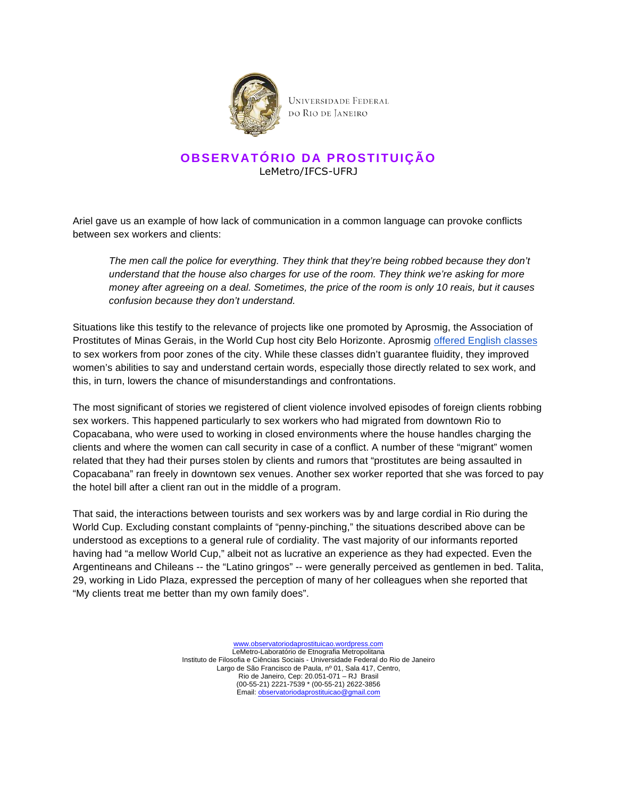

# **OBSERVATÓRIO DA PROSTITUIÇÃO** LeMetro/IFCS-UFRJ

Ariel gave us an example of how lack of communication in a common language can provoke conflicts between sex workers and clients:

The men call the police for everything. They think that they're being robbed because they don't understand that the house also charges for use of the room. They think we're asking for more money after agreeing on a deal. Sometimes, the price of the room is only 10 reais, but it causes confusion because they don't understand.

Situations like this testify to the relevance of projects like one promoted by Aprosmig, the Association of Prostitutes of Minas Gerais, in the World Cup host city Belo Horizonte. Aprosmig offered English classes to sex workers from poor zones of the city. While these classes didn't guarantee fluidity, they improved women's abilities to say and understand certain words, especially those directly related to sex work, and this, in turn, lowers the chance of misunderstandings and confrontations.

The most significant of stories we registered of client violence involved episodes of foreign clients robbing sex workers. This happened particularly to sex workers who had migrated from downtown Rio to Copacabana, who were used to working in closed environments where the house handles charging the clients and where the women can call security in case of a conflict. A number of these "migrant" women related that they had their purses stolen by clients and rumors that "prostitutes are being assaulted in Copacabana" ran freely in downtown sex venues. Another sex worker reported that she was forced to pay the hotel bill after a client ran out in the middle of a program.

That said, the interactions between tourists and sex workers was by and large cordial in Rio during the World Cup. Excluding constant complaints of "penny-pinching," the situations described above can be understood as exceptions to a general rule of cordiality. The vast majority of our informants reported having had "a mellow World Cup," albeit not as lucrative an experience as they had expected. Even the Argentineans and Chileans -- the "Latino gringos" -- were generally perceived as gentlemen in bed. Talita, 29, working in Lido Plaza, expressed the perception of many of her colleagues when she reported that "My clients treat me better than my own family does".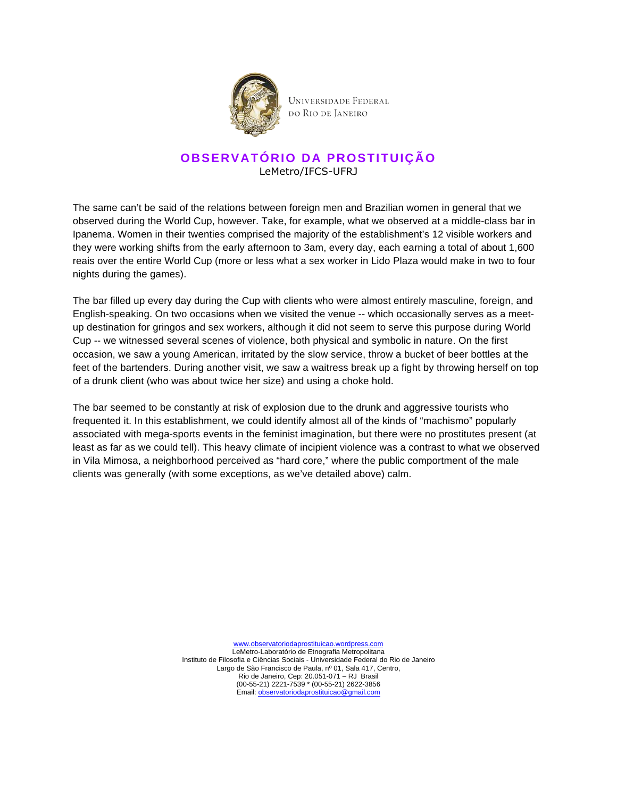

### **OBSERVATÓRIO DA PROSTITUIÇÃO** LeMetro/IFCS-UFRJ

The same can't be said of the relations between foreign men and Brazilian women in general that we observed during the World Cup, however. Take, for example, what we observed at a middle-class bar in Ipanema. Women in their twenties comprised the majority of the establishment's 12 visible workers and they were working shifts from the early afternoon to 3am, every day, each earning a total of about 1,600 reais over the entire World Cup (more or less what a sex worker in Lido Plaza would make in two to four nights during the games).

The bar filled up every day during the Cup with clients who were almost entirely masculine, foreign, and English-speaking. On two occasions when we visited the venue -- which occasionally serves as a meetup destination for gringos and sex workers, although it did not seem to serve this purpose during World Cup -- we witnessed several scenes of violence, both physical and symbolic in nature. On the first occasion, we saw a young American, irritated by the slow service, throw a bucket of beer bottles at the feet of the bartenders. During another visit, we saw a waitress break up a fight by throwing herself on top of a drunk client (who was about twice her size) and using a choke hold.

The bar seemed to be constantly at risk of explosion due to the drunk and aggressive tourists who frequented it. In this establishment, we could identify almost all of the kinds of "machismo" popularly associated with mega-sports events in the feminist imagination, but there were no prostitutes present (at least as far as we could tell). This heavy climate of incipient violence was a contrast to what we observed in Vila Mimosa, a neighborhood perceived as "hard core," where the public comportment of the male clients was generally (with some exceptions, as we've detailed above) calm.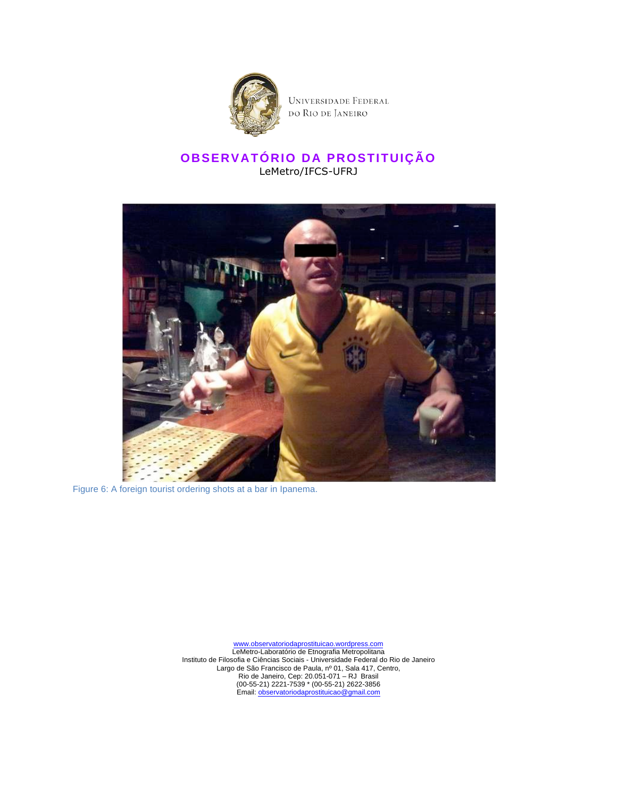

## **OBSERVATÓRIO DA PROSTITUIÇÃO** LeMetro/IFCS-UFRJ



Figure 6: A foreign tourist ordering shots at a bar in Ipanema.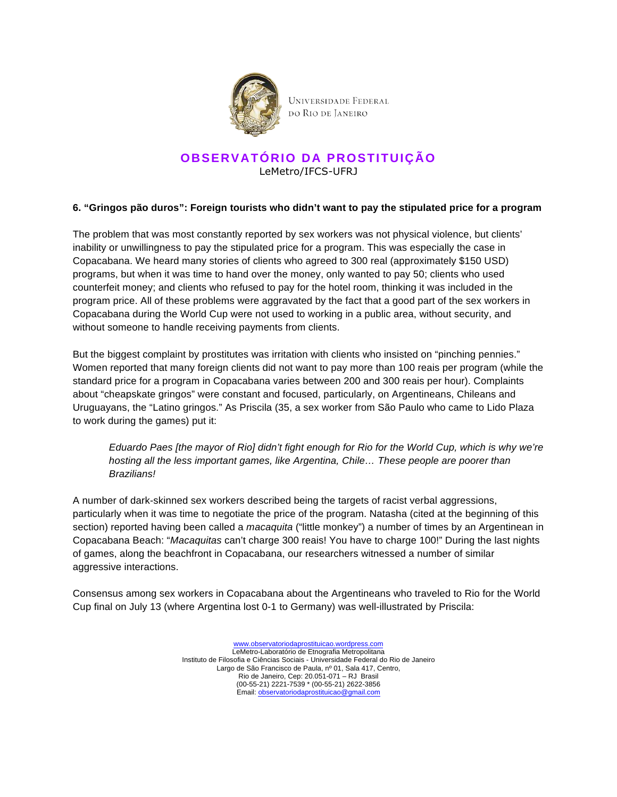

### **OBSERVATÓRIO DA PROSTITUIÇÃO** LeMetro/IFCS-UFRJ

#### **6. "Gringos pão duros": Foreign tourists who didn't want to pay the stipulated price for a program**

The problem that was most constantly reported by sex workers was not physical violence, but clients' inability or unwillingness to pay the stipulated price for a program. This was especially the case in Copacabana. We heard many stories of clients who agreed to 300 real (approximately \$150 USD) programs, but when it was time to hand over the money, only wanted to pay 50; clients who used counterfeit money; and clients who refused to pay for the hotel room, thinking it was included in the program price. All of these problems were aggravated by the fact that a good part of the sex workers in Copacabana during the World Cup were not used to working in a public area, without security, and without someone to handle receiving payments from clients.

But the biggest complaint by prostitutes was irritation with clients who insisted on "pinching pennies." Women reported that many foreign clients did not want to pay more than 100 reais per program (while the standard price for a program in Copacabana varies between 200 and 300 reais per hour). Complaints about "cheapskate gringos" were constant and focused, particularly, on Argentineans, Chileans and Uruguayans, the "Latino gringos." As Priscila (35, a sex worker from São Paulo who came to Lido Plaza to work during the games) put it:

Eduardo Paes [the mayor of Rio] didn't fight enough for Rio for the World Cup, which is why we're hosting all the less important games, like Argentina, Chile… These people are poorer than Brazilians!

A number of dark-skinned sex workers described being the targets of racist verbal aggressions, particularly when it was time to negotiate the price of the program. Natasha (cited at the beginning of this section) reported having been called a *macaquita* ("little monkey") a number of times by an Argentinean in Copacabana Beach: "Macaquitas can't charge 300 reais! You have to charge 100!" During the last nights of games, along the beachfront in Copacabana, our researchers witnessed a number of similar aggressive interactions.

Consensus among sex workers in Copacabana about the Argentineans who traveled to Rio for the World Cup final on July 13 (where Argentina lost 0-1 to Germany) was well-illustrated by Priscila: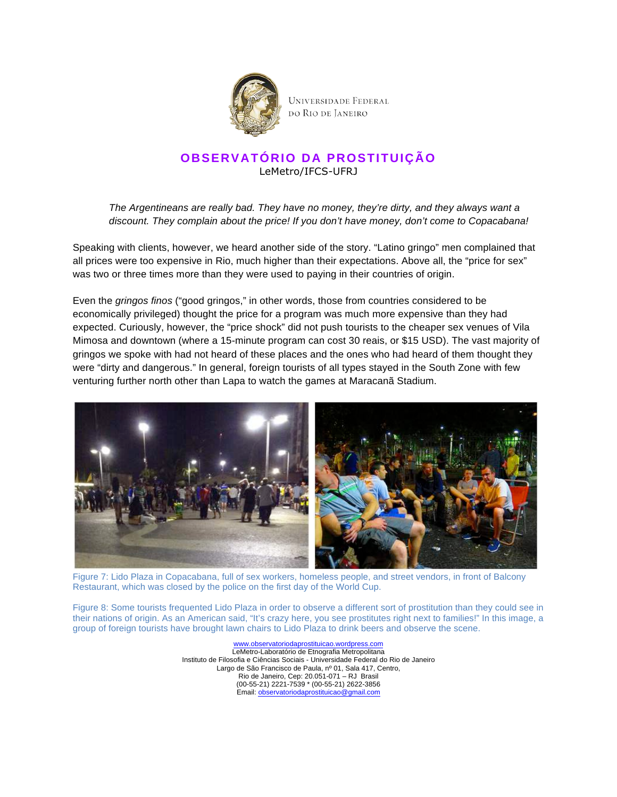

## **OBSERVATÓRIO DA PROSTITUIÇÃO** LeMetro/IFCS-UFRJ

The Argentineans are really bad. They have no money, they're dirty, and they always want a discount. They complain about the price! If you don't have money, don't come to Copacabana!

Speaking with clients, however, we heard another side of the story. "Latino gringo" men complained that all prices were too expensive in Rio, much higher than their expectations. Above all, the "price for sex" was two or three times more than they were used to paying in their countries of origin.

Even the gringos finos ("good gringos," in other words, those from countries considered to be economically privileged) thought the price for a program was much more expensive than they had expected. Curiously, however, the "price shock" did not push tourists to the cheaper sex venues of Vila Mimosa and downtown (where a 15-minute program can cost 30 reais, or \$15 USD). The vast majority of gringos we spoke with had not heard of these places and the ones who had heard of them thought they were "dirty and dangerous." In general, foreign tourists of all types stayed in the South Zone with few venturing further north other than Lapa to watch the games at Maracanã Stadium.



Figure 7: Lido Plaza in Copacabana, full of sex workers, homeless people, and street vendors, in front of Balcony Restaurant, which was closed by the police on the first day of the World Cup.

Figure 8: Some tourists frequented Lido Plaza in order to observe a different sort of prostitution than they could see in their nations of origin. As an American said, "It's crazy here, you see prostitutes right next to families!" In this image, a group of foreign tourists have brought lawn chairs to Lido Plaza to drink beers and observe the scene.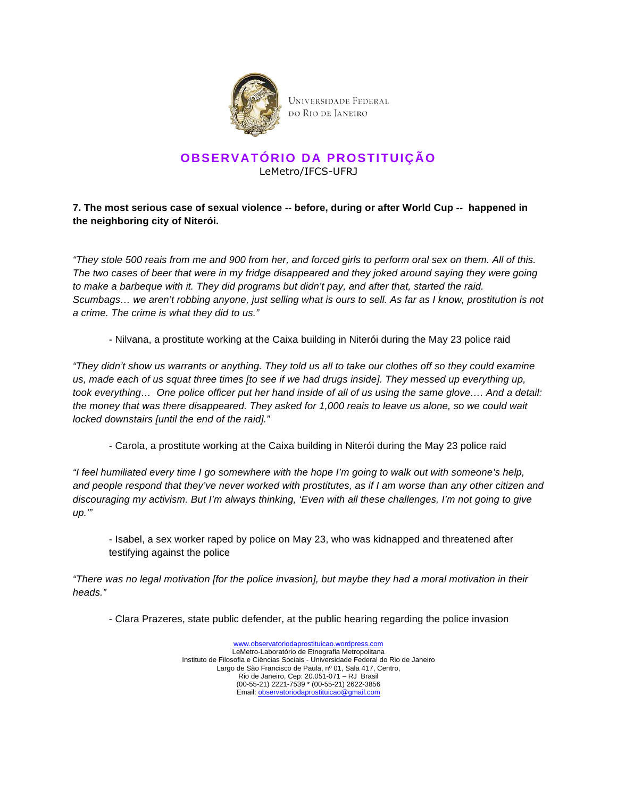

### **OBSERVATÓRIO DA PROSTITUIÇÃO** LeMetro/IFCS-UFRJ

### **7. The most serious case of sexual violence -- before, during or after World Cup -- happened in the neighboring city of Niterói.**

"They stole 500 reais from me and 900 from her, and forced girls to perform oral sex on them. All of this. The two cases of beer that were in my fridge disappeared and they joked around saying they were going to make a barbeque with it. They did programs but didn't pay, and after that, started the raid. Scumbags… we aren't robbing anyone, just selling what is ours to sell. As far as I know, prostitution is not a crime. The crime is what they did to us."

- Nilvana, a prostitute working at the Caixa building in Niterói during the May 23 police raid

"They didn't show us warrants or anything. They told us all to take our clothes off so they could examine us, made each of us squat three times [to see if we had drugs inside]. They messed up everything up, took everything… One police officer put her hand inside of all of us using the same glove…. And a detail: the money that was there disappeared. They asked for 1,000 reais to leave us alone, so we could wait locked downstairs [until the end of the raid]."

- Carola, a prostitute working at the Caixa building in Niterói during the May 23 police raid

"I feel humiliated every time I go somewhere with the hope I'm going to walk out with someone's help, and people respond that they've never worked with prostitutes, as if I am worse than any other citizen and discouraging my activism. But I'm always thinking, 'Even with all these challenges, I'm not going to give up.'"

- Isabel, a sex worker raped by police on May 23, who was kidnapped and threatened after testifying against the police

"There was no legal motivation [for the police invasion], but maybe they had a moral motivation in their heads."

- Clara Prazeres, state public defender, at the public hearing regarding the police invasion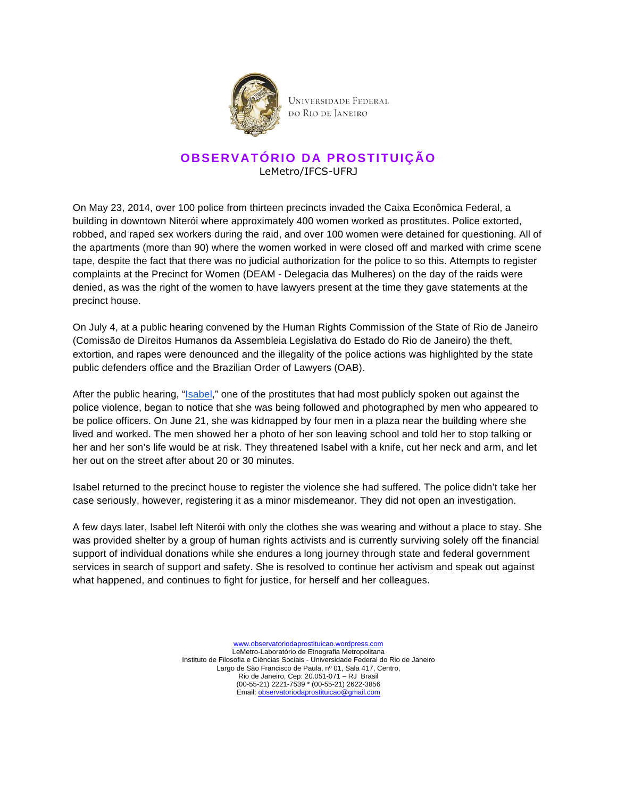

## **OBSERVATÓRIO DA PROSTITUIÇÃO** LeMetro/IFCS-UFRJ

On May 23, 2014, over 100 police from thirteen precincts invaded the Caixa Econômica Federal, a building in downtown Niterói where approximately 400 women worked as prostitutes. Police extorted, robbed, and raped sex workers during the raid, and over 100 women were detained for questioning. All of the apartments (more than 90) where the women worked in were closed off and marked with crime scene tape, despite the fact that there was no judicial authorization for the police to so this. Attempts to register complaints at the Precinct for Women (DEAM - Delegacia das Mulheres) on the day of the raids were denied, as was the right of the women to have lawyers present at the time they gave statements at the precinct house.

On July 4, at a public hearing convened by the Human Rights Commission of the State of Rio de Janeiro (Comissão de Direitos Humanos da Assembleia Legislativa do Estado do Rio de Janeiro) the theft, extortion, and rapes were denounced and the illegality of the police actions was highlighted by the state public defenders office and the Brazilian Order of Lawyers (OAB).

After the public hearing, "Isabel," one of the prostitutes that had most publicly spoken out against the police violence, began to notice that she was being followed and photographed by men who appeared to be police officers. On June 21, she was kidnapped by four men in a plaza near the building where she lived and worked. The men showed her a photo of her son leaving school and told her to stop talking or her and her son's life would be at risk. They threatened Isabel with a knife, cut her neck and arm, and let her out on the street after about 20 or 30 minutes.

Isabel returned to the precinct house to register the violence she had suffered. The police didn't take her case seriously, however, registering it as a minor misdemeanor. They did not open an investigation.

A few days later, Isabel left Niterói with only the clothes she was wearing and without a place to stay. She was provided shelter by a group of human rights activists and is currently surviving solely off the financial support of individual donations while she endures a long journey through state and federal government services in search of support and safety. She is resolved to continue her activism and speak out against what happened, and continues to fight for justice, for herself and her colleagues.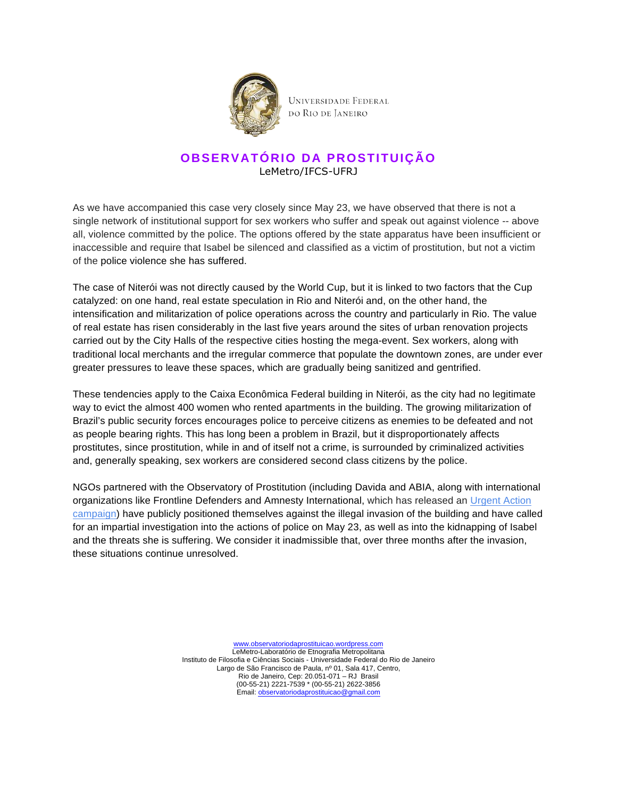

## **OBSERVATÓRIO DA PROSTITUIÇÃO** LeMetro/IFCS-UFRJ

As we have accompanied this case very closely since May 23, we have observed that there is not a single network of institutional support for sex workers who suffer and speak out against violence -- above all, violence committed by the police. The options offered by the state apparatus have been insufficient or inaccessible and require that Isabel be silenced and classified as a victim of prostitution, but not a victim of the police violence she has suffered.

The case of Niterói was not directly caused by the World Cup, but it is linked to two factors that the Cup catalyzed: on one hand, real estate speculation in Rio and Niterói and, on the other hand, the intensification and militarization of police operations across the country and particularly in Rio. The value of real estate has risen considerably in the last five years around the sites of urban renovation projects carried out by the City Halls of the respective cities hosting the mega-event. Sex workers, along with traditional local merchants and the irregular commerce that populate the downtown zones, are under ever greater pressures to leave these spaces, which are gradually being sanitized and gentrified.

These tendencies apply to the Caixa Econômica Federal building in Niterói, as the city had no legitimate way to evict the almost 400 women who rented apartments in the building. The growing militarization of Brazil's public security forces encourages police to perceive citizens as enemies to be defeated and not as people bearing rights. This has long been a problem in Brazil, but it disproportionately affects prostitutes, since prostitution, while in and of itself not a crime, is surrounded by criminalized activities and, generally speaking, sex workers are considered second class citizens by the police.

NGOs partnered with the Observatory of Prostitution (including Davida and ABIA, along with international organizations like Frontline Defenders and Amnesty International, which has released an Urgent Action campaign) have publicly positioned themselves against the illegal invasion of the building and have called for an impartial investigation into the actions of police on May 23, as well as into the kidnapping of Isabel and the threats she is suffering. We consider it inadmissible that, over three months after the invasion, these situations continue unresolved.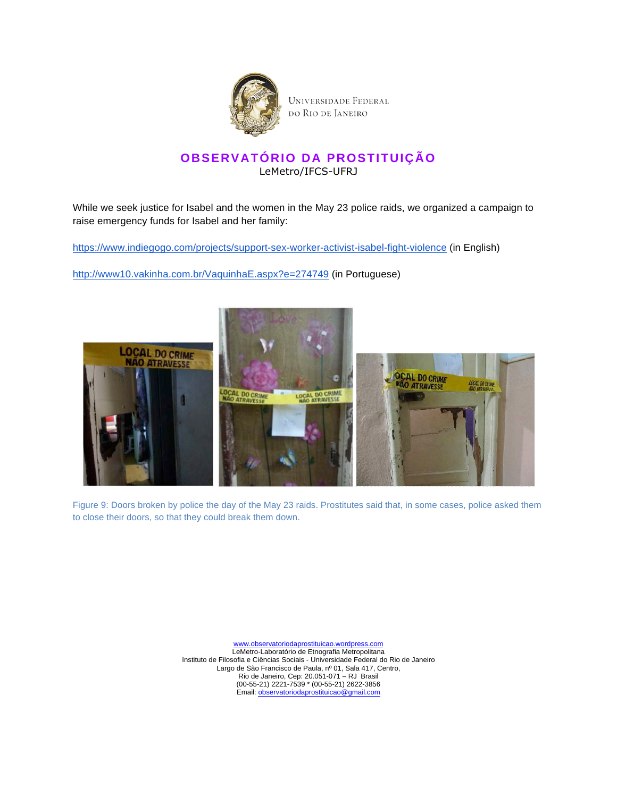

# **OBSERVATÓRIO DA PROSTITUIÇÃO** LeMetro/IFCS-UFRJ

While we seek justice for Isabel and the women in the May 23 police raids, we organized a campaign to raise emergency funds for Isabel and her family:

https://www.indiegogo.com/projects/support-sex-worker-activist-isabel-fight-violence (in English)

http://www10.vakinha.com.br/VaquinhaE.aspx?e=274749 (in Portuguese)



Figure 9: Doors broken by police the day of the May 23 raids. Prostitutes said that, in some cases, police asked them to close their doors, so that they could break them down.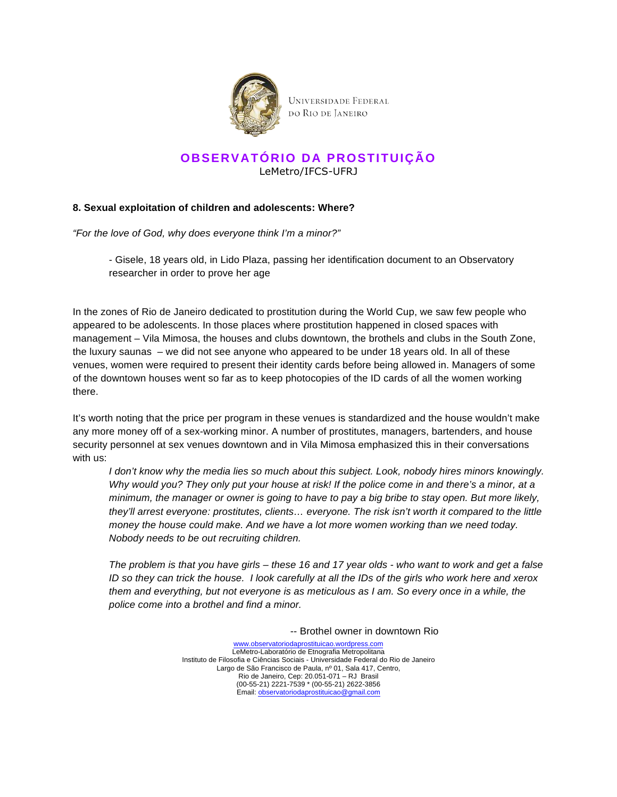

### **OBSERVATÓRIO DA PROSTITUIÇÃO** LeMetro/IFCS-UFRJ

#### **8. Sexual exploitation of children and adolescents: Where?**

"For the love of God, why does everyone think I'm a minor?"

- Gisele, 18 years old, in Lido Plaza, passing her identification document to an Observatory researcher in order to prove her age

In the zones of Rio de Janeiro dedicated to prostitution during the World Cup, we saw few people who appeared to be adolescents. In those places where prostitution happened in closed spaces with management – Vila Mimosa, the houses and clubs downtown, the brothels and clubs in the South Zone, the luxury saunas – we did not see anyone who appeared to be under 18 years old. In all of these venues, women were required to present their identity cards before being allowed in. Managers of some of the downtown houses went so far as to keep photocopies of the ID cards of all the women working there.

It's worth noting that the price per program in these venues is standardized and the house wouldn't make any more money off of a sex-working minor. A number of prostitutes, managers, bartenders, and house security personnel at sex venues downtown and in Vila Mimosa emphasized this in their conversations with us:

I don't know why the media lies so much about this subject. Look, nobody hires minors knowingly. Why would you? They only put your house at risk! If the police come in and there's a minor, at a minimum, the manager or owner is going to have to pay a big bribe to stay open. But more likely, they'll arrest everyone: prostitutes, clients… everyone. The risk isn't worth it compared to the little money the house could make. And we have a lot more women working than we need today. Nobody needs to be out recruiting children.

The problem is that you have girls – these 16 and 17 year olds - who want to work and get a false ID so they can trick the house. I look carefully at all the IDs of the girls who work here and xerox them and everything, but not everyone is as meticulous as I am. So every once in a while, the police come into a brothel and find a minor.

-- Brothel owner in downtown Rio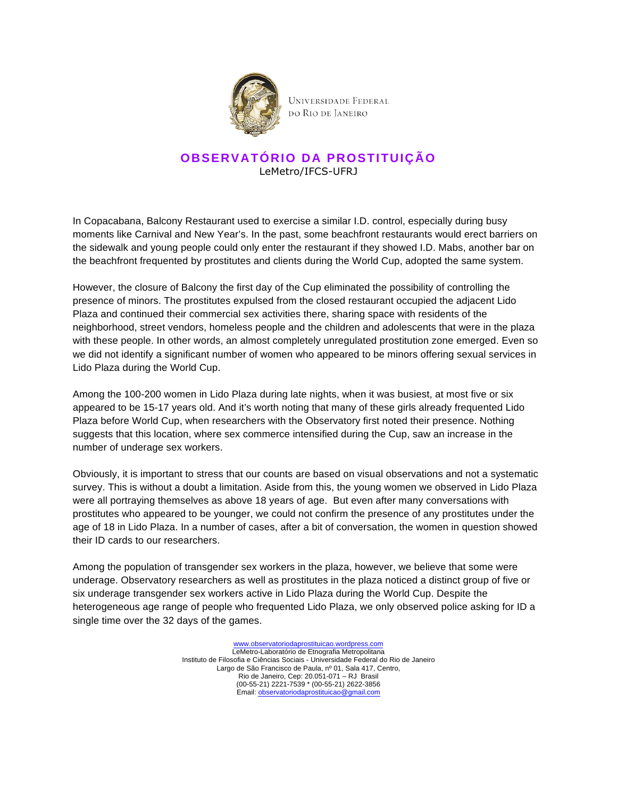

## **OBSERVATÓRIO DA PROSTITUIÇÃO** LeMetro/IFCS-UFRJ

In Copacabana, Balcony Restaurant used to exercise a similar I.D. control, especially during busy moments like Carnival and New Year's. In the past, some beachfront restaurants would erect barriers on the sidewalk and young people could only enter the restaurant if they showed I.D. Mabs, another bar on the beachfront frequented by prostitutes and clients during the World Cup, adopted the same system.

However, the closure of Balcony the first day of the Cup eliminated the possibility of controlling the presence of minors. The prostitutes expulsed from the closed restaurant occupied the adjacent Lido Plaza and continued their commercial sex activities there, sharing space with residents of the neighborhood, street vendors, homeless people and the children and adolescents that were in the plaza with these people. In other words, an almost completely unregulated prostitution zone emerged. Even so we did not identify a significant number of women who appeared to be minors offering sexual services in Lido Plaza during the World Cup.

Among the 100-200 women in Lido Plaza during late nights, when it was busiest, at most five or six appeared to be 15-17 years old. And it's worth noting that many of these girls already frequented Lido Plaza before World Cup, when researchers with the Observatory first noted their presence. Nothing suggests that this location, where sex commerce intensified during the Cup, saw an increase in the number of underage sex workers.

Obviously, it is important to stress that our counts are based on visual observations and not a systematic survey. This is without a doubt a limitation. Aside from this, the young women we observed in Lido Plaza were all portraying themselves as above 18 years of age. But even after many conversations with prostitutes who appeared to be younger, we could not confirm the presence of any prostitutes under the age of 18 in Lido Plaza. In a number of cases, after a bit of conversation, the women in question showed their ID cards to our researchers.

Among the population of transgender sex workers in the plaza, however, we believe that some were underage. Observatory researchers as well as prostitutes in the plaza noticed a distinct group of five or six underage transgender sex workers active in Lido Plaza during the World Cup. Despite the heterogeneous age range of people who frequented Lido Plaza, we only observed police asking for ID a single time over the 32 days of the games.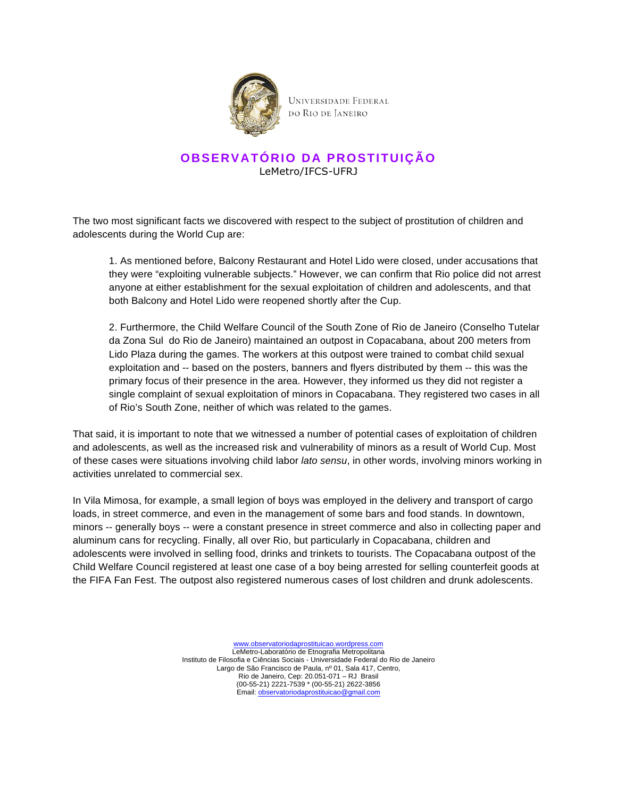

# **OBSERVATÓRIO DA PROSTITUIÇÃO** LeMetro/IFCS-UFRJ

The two most significant facts we discovered with respect to the subject of prostitution of children and adolescents during the World Cup are:

1. As mentioned before, Balcony Restaurant and Hotel Lido were closed, under accusations that they were "exploiting vulnerable subjects." However, we can confirm that Rio police did not arrest anyone at either establishment for the sexual exploitation of children and adolescents, and that both Balcony and Hotel Lido were reopened shortly after the Cup.

2. Furthermore, the Child Welfare Council of the South Zone of Rio de Janeiro (Conselho Tutelar da Zona Sul do Rio de Janeiro) maintained an outpost in Copacabana, about 200 meters from Lido Plaza during the games. The workers at this outpost were trained to combat child sexual exploitation and -- based on the posters, banners and flyers distributed by them -- this was the primary focus of their presence in the area. However, they informed us they did not register a single complaint of sexual exploitation of minors in Copacabana. They registered two cases in all of Rio's South Zone, neither of which was related to the games.

That said, it is important to note that we witnessed a number of potential cases of exploitation of children and adolescents, as well as the increased risk and vulnerability of minors as a result of World Cup. Most of these cases were situations involving child labor *lato sensu*, in other words, involving minors working in activities unrelated to commercial sex.

In Vila Mimosa, for example, a small legion of boys was employed in the delivery and transport of cargo loads, in street commerce, and even in the management of some bars and food stands. In downtown, minors -- generally boys -- were a constant presence in street commerce and also in collecting paper and aluminum cans for recycling. Finally, all over Rio, but particularly in Copacabana, children and adolescents were involved in selling food, drinks and trinkets to tourists. The Copacabana outpost of the Child Welfare Council registered at least one case of a boy being arrested for selling counterfeit goods at the FIFA Fan Fest. The outpost also registered numerous cases of lost children and drunk adolescents.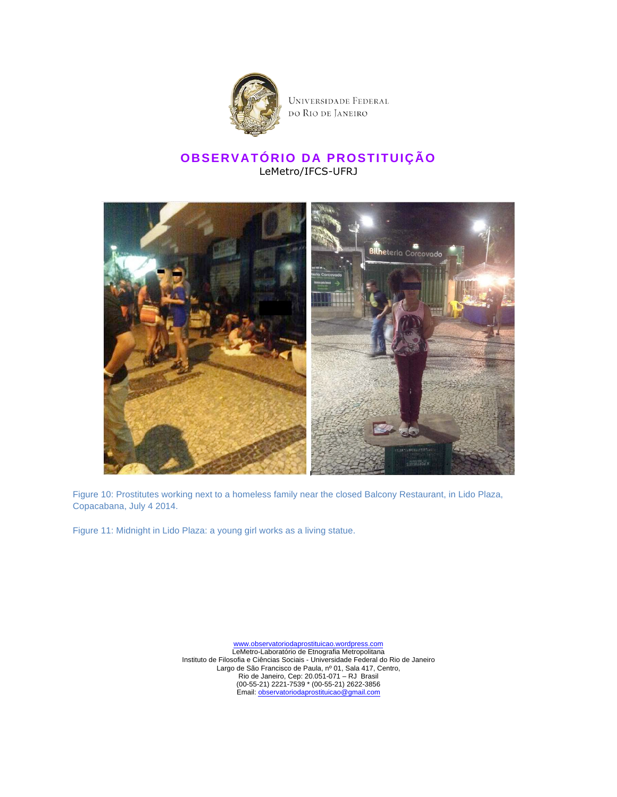

UNIVERSIDADE FEDERAL do Rio de Janeiro

## **OBSERVATÓRIO DA PROSTITUIÇÃO** LeMetro/IFCS-UFRJ



Figure 10: Prostitutes working next to a homeless family near the closed Balcony Restaurant, in Lido Plaza, Copacabana, July 4 2014.

Figure 11: Midnight in Lido Plaza: a young girl works as a living statue.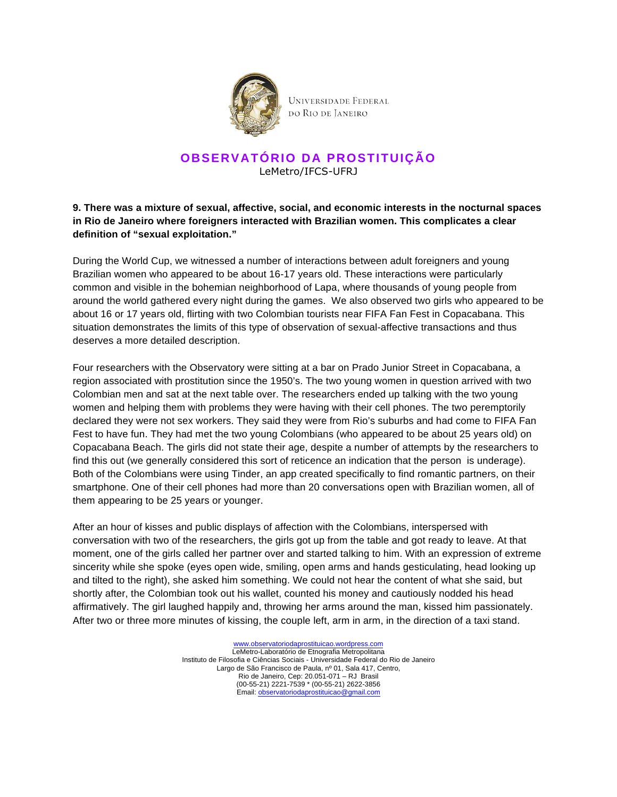

### **OBSERVATÓRIO DA PROSTITUIÇÃO** LeMetro/IFCS-UFRJ

#### **9. There was a mixture of sexual, affective, social, and economic interests in the nocturnal spaces in Rio de Janeiro where foreigners interacted with Brazilian women. This complicates a clear definition of "sexual exploitation."**

During the World Cup, we witnessed a number of interactions between adult foreigners and young Brazilian women who appeared to be about 16-17 years old. These interactions were particularly common and visible in the bohemian neighborhood of Lapa, where thousands of young people from around the world gathered every night during the games. We also observed two girls who appeared to be about 16 or 17 years old, flirting with two Colombian tourists near FIFA Fan Fest in Copacabana. This situation demonstrates the limits of this type of observation of sexual-affective transactions and thus deserves a more detailed description.

Four researchers with the Observatory were sitting at a bar on Prado Junior Street in Copacabana, a region associated with prostitution since the 1950's. The two young women in question arrived with two Colombian men and sat at the next table over. The researchers ended up talking with the two young women and helping them with problems they were having with their cell phones. The two peremptorily declared they were not sex workers. They said they were from Rio's suburbs and had come to FIFA Fan Fest to have fun. They had met the two young Colombians (who appeared to be about 25 years old) on Copacabana Beach. The girls did not state their age, despite a number of attempts by the researchers to find this out (we generally considered this sort of reticence an indication that the person is underage). Both of the Colombians were using Tinder, an app created specifically to find romantic partners, on their smartphone. One of their cell phones had more than 20 conversations open with Brazilian women, all of them appearing to be 25 years or younger.

After an hour of kisses and public displays of affection with the Colombians, interspersed with conversation with two of the researchers, the girls got up from the table and got ready to leave. At that moment, one of the girls called her partner over and started talking to him. With an expression of extreme sincerity while she spoke (eyes open wide, smiling, open arms and hands gesticulating, head looking up and tilted to the right), she asked him something. We could not hear the content of what she said, but shortly after, the Colombian took out his wallet, counted his money and cautiously nodded his head affirmatively. The girl laughed happily and, throwing her arms around the man, kissed him passionately. After two or three more minutes of kissing, the couple left, arm in arm, in the direction of a taxi stand.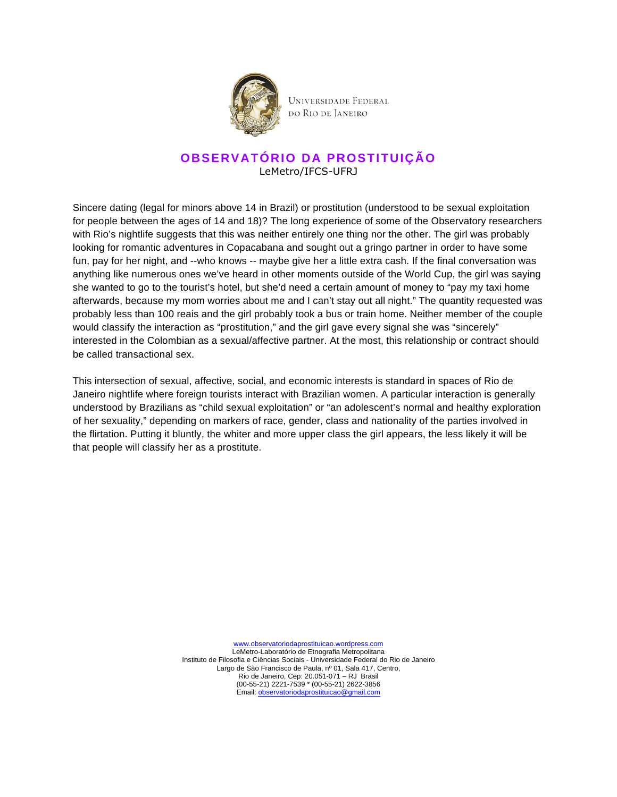

## **OBSERVATÓRIO DA PROSTITUIÇÃO** LeMetro/IFCS-UFRJ

Sincere dating (legal for minors above 14 in Brazil) or prostitution (understood to be sexual exploitation for people between the ages of 14 and 18)? The long experience of some of the Observatory researchers with Rio's nightlife suggests that this was neither entirely one thing nor the other. The girl was probably looking for romantic adventures in Copacabana and sought out a gringo partner in order to have some fun, pay for her night, and --who knows -- maybe give her a little extra cash. If the final conversation was anything like numerous ones we've heard in other moments outside of the World Cup, the girl was saying she wanted to go to the tourist's hotel, but she'd need a certain amount of money to "pay my taxi home afterwards, because my mom worries about me and I can't stay out all night." The quantity requested was probably less than 100 reais and the girl probably took a bus or train home. Neither member of the couple would classify the interaction as "prostitution," and the girl gave every signal she was "sincerely" interested in the Colombian as a sexual/affective partner. At the most, this relationship or contract should be called transactional sex.

This intersection of sexual, affective, social, and economic interests is standard in spaces of Rio de Janeiro nightlife where foreign tourists interact with Brazilian women. A particular interaction is generally understood by Brazilians as "child sexual exploitation" or "an adolescent's normal and healthy exploration of her sexuality," depending on markers of race, gender, class and nationality of the parties involved in the flirtation. Putting it bluntly, the whiter and more upper class the girl appears, the less likely it will be that people will classify her as a prostitute.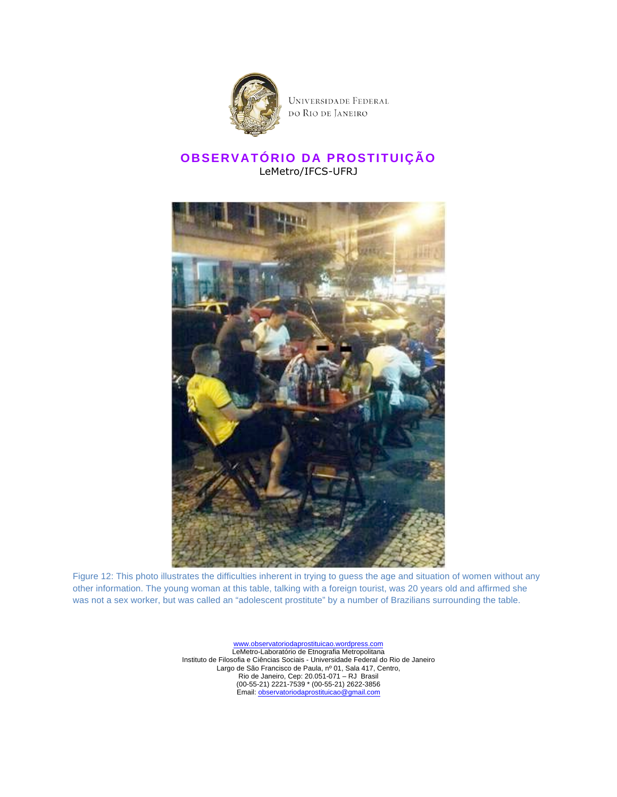

# **OBSERVATÓRIO DA PROSTITUIÇÃO** LeMetro/IFCS-UFRJ



Figure 12: This photo illustrates the difficulties inherent in trying to guess the age and situation of women without any other information. The young woman at this table, talking with a foreign tourist, was 20 years old and affirmed she was not a sex worker, but was called an "adolescent prostitute" by a number of Brazilians surrounding the table.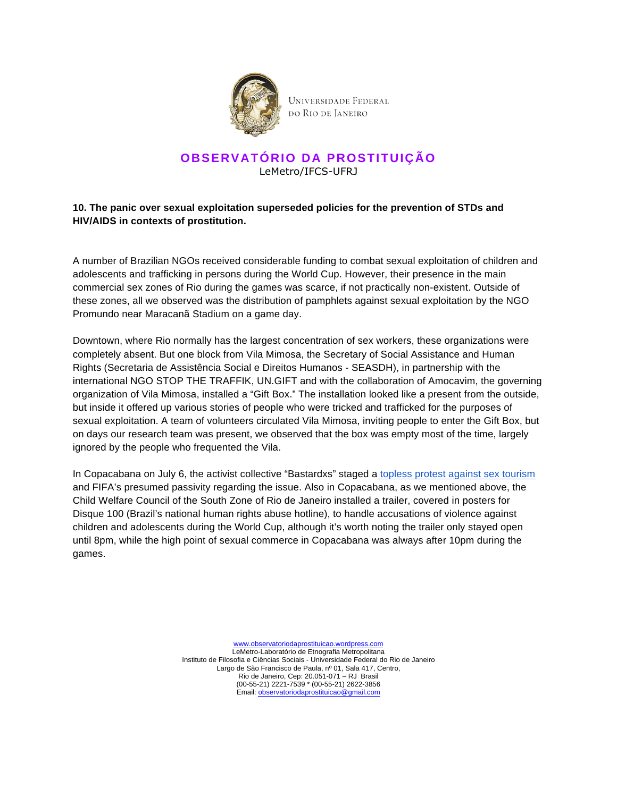

### **OBSERVATÓRIO DA PROSTITUIÇÃO** LeMetro/IFCS-UFRJ

#### **10. The panic over sexual exploitation superseded policies for the prevention of STDs and HIV/AIDS in contexts of prostitution.**

A number of Brazilian NGOs received considerable funding to combat sexual exploitation of children and adolescents and trafficking in persons during the World Cup. However, their presence in the main commercial sex zones of Rio during the games was scarce, if not practically non-existent. Outside of these zones, all we observed was the distribution of pamphlets against sexual exploitation by the NGO Promundo near Maracanã Stadium on a game day.

Downtown, where Rio normally has the largest concentration of sex workers, these organizations were completely absent. But one block from Vila Mimosa, the Secretary of Social Assistance and Human Rights (Secretaria de Assistência Social e Direitos Humanos - SEASDH), in partnership with the international NGO STOP THE TRAFFIK, UN.GIFT and with the collaboration of Amocavim, the governing organization of Vila Mimosa, installed a "Gift Box." The installation looked like a present from the outside, but inside it offered up various stories of people who were tricked and trafficked for the purposes of sexual exploitation. A team of volunteers circulated Vila Mimosa, inviting people to enter the Gift Box, but on days our research team was present, we observed that the box was empty most of the time, largely ignored by the people who frequented the Vila.

In Copacabana on July 6, the activist collective "Bastardxs" staged a topless protest against sex tourism and FIFA's presumed passivity regarding the issue. Also in Copacabana, as we mentioned above, the Child Welfare Council of the South Zone of Rio de Janeiro installed a trailer, covered in posters for Disque 100 (Brazil's national human rights abuse hotline), to handle accusations of violence against children and adolescents during the World Cup, although it's worth noting the trailer only stayed open until 8pm, while the high point of sexual commerce in Copacabana was always after 10pm during the games.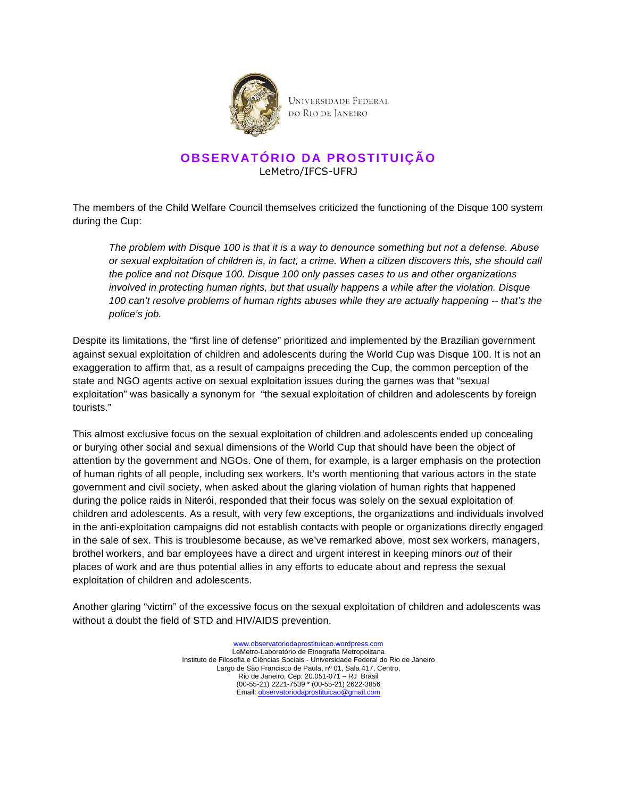

# **OBSERVATÓRIO DA PROSTITUIÇÃO** LeMetro/IFCS-UFRJ

The members of the Child Welfare Council themselves criticized the functioning of the Disque 100 system during the Cup:

The problem with Disque 100 is that it is a way to denounce something but not a defense. Abuse or sexual exploitation of children is, in fact, a crime. When a citizen discovers this, she should call the police and not Disque 100. Disque 100 only passes cases to us and other organizations involved in protecting human rights, but that usually happens a while after the violation. Disque 100 can't resolve problems of human rights abuses while they are actually happening -- that's the police's job.

Despite its limitations, the "first line of defense" prioritized and implemented by the Brazilian government against sexual exploitation of children and adolescents during the World Cup was Disque 100. It is not an exaggeration to affirm that, as a result of campaigns preceding the Cup, the common perception of the state and NGO agents active on sexual exploitation issues during the games was that "sexual exploitation" was basically a synonym for "the sexual exploitation of children and adolescents by foreign tourists."

This almost exclusive focus on the sexual exploitation of children and adolescents ended up concealing or burying other social and sexual dimensions of the World Cup that should have been the object of attention by the government and NGOs. One of them, for example, is a larger emphasis on the protection of human rights of all people, including sex workers. It's worth mentioning that various actors in the state government and civil society, when asked about the glaring violation of human rights that happened during the police raids in Niterói, responded that their focus was solely on the sexual exploitation of children and adolescents. As a result, with very few exceptions, the organizations and individuals involved in the anti-exploitation campaigns did not establish contacts with people or organizations directly engaged in the sale of sex. This is troublesome because, as we've remarked above, most sex workers, managers, brothel workers, and bar employees have a direct and urgent interest in keeping minors out of their places of work and are thus potential allies in any efforts to educate about and repress the sexual exploitation of children and adolescents.

Another glaring "victim" of the excessive focus on the sexual exploitation of children and adolescents was without a doubt the field of STD and HIV/AIDS prevention.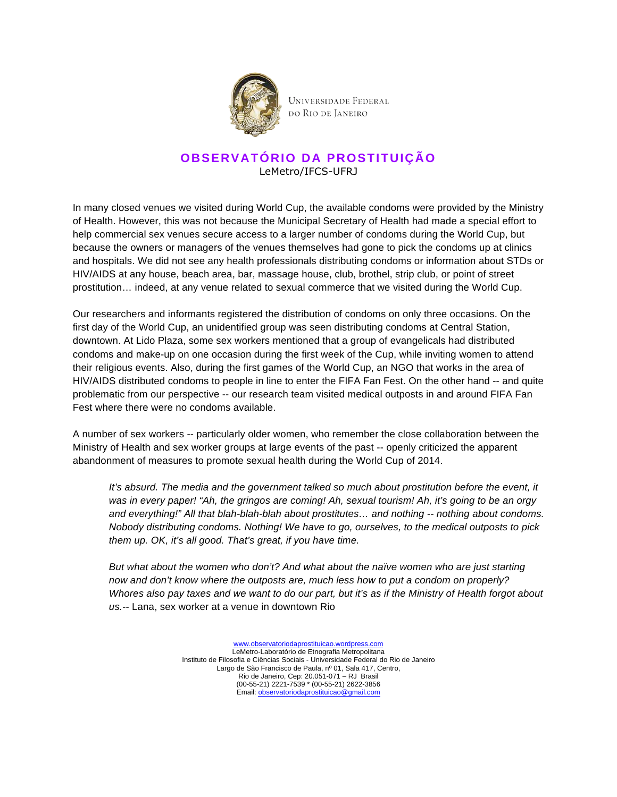

## **OBSERVATÓRIO DA PROSTITUIÇÃO** LeMetro/IFCS-UFRJ

In many closed venues we visited during World Cup, the available condoms were provided by the Ministry of Health. However, this was not because the Municipal Secretary of Health had made a special effort to help commercial sex venues secure access to a larger number of condoms during the World Cup, but because the owners or managers of the venues themselves had gone to pick the condoms up at clinics and hospitals. We did not see any health professionals distributing condoms or information about STDs or HIV/AIDS at any house, beach area, bar, massage house, club, brothel, strip club, or point of street prostitution… indeed, at any venue related to sexual commerce that we visited during the World Cup.

Our researchers and informants registered the distribution of condoms on only three occasions. On the first day of the World Cup, an unidentified group was seen distributing condoms at Central Station, downtown. At Lido Plaza, some sex workers mentioned that a group of evangelicals had distributed condoms and make-up on one occasion during the first week of the Cup, while inviting women to attend their religious events. Also, during the first games of the World Cup, an NGO that works in the area of HIV/AIDS distributed condoms to people in line to enter the FIFA Fan Fest. On the other hand -- and quite problematic from our perspective -- our research team visited medical outposts in and around FIFA Fan Fest where there were no condoms available.

A number of sex workers -- particularly older women, who remember the close collaboration between the Ministry of Health and sex worker groups at large events of the past -- openly criticized the apparent abandonment of measures to promote sexual health during the World Cup of 2014.

It's absurd. The media and the government talked so much about prostitution before the event, it was in every paper! "Ah, the gringos are coming! Ah, sexual tourism! Ah, it's going to be an orgy and everything!" All that blah-blah-blah about prostitutes... and nothing -- nothing about condoms. Nobody distributing condoms. Nothing! We have to go, ourselves, to the medical outposts to pick them up. OK, it's all good. That's great, if you have time.

But what about the women who don't? And what about the naïve women who are just starting now and don't know where the outposts are, much less how to put a condom on properly? Whores also pay taxes and we want to do our part, but it's as if the Ministry of Health forgot about us.-- Lana, sex worker at a venue in downtown Rio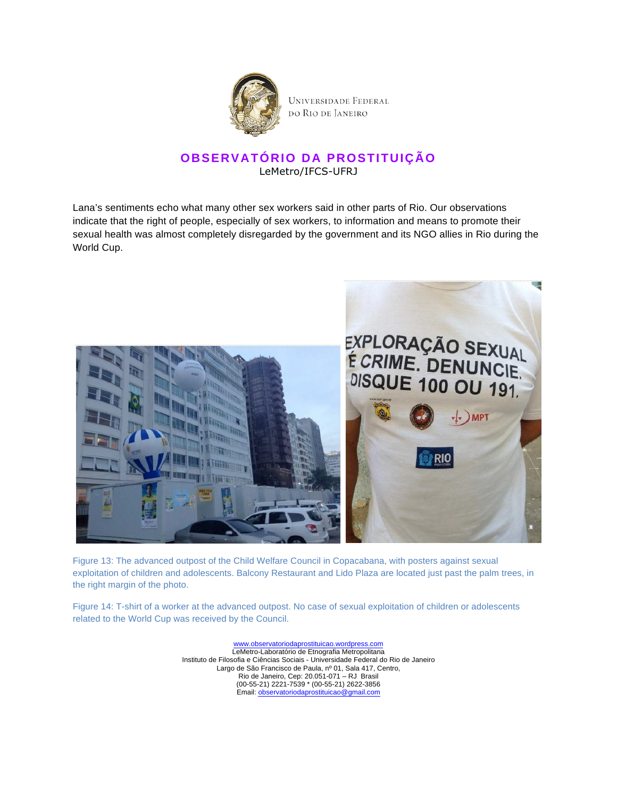

### **OBSERVATÓRIO DA PROSTITUIÇÃO** LeMetro/IFCS-UFRJ

Lana's sentiments echo what many other sex workers said in other parts of Rio. Our observations indicate that the right of people, especially of sex workers, to information and means to promote their sexual health was almost completely disregarded by the government and its NGO allies in Rio during the World Cup.



Figure 13: The advanced outpost of the Child Welfare Council in Copacabana, with posters against sexual exploitation of children and adolescents. Balcony Restaurant and Lido Plaza are located just past the palm trees, in the right margin of the photo.

Figure 14: T-shirt of a worker at the advanced outpost. No case of sexual exploitation of children or adolescents related to the World Cup was received by the Council.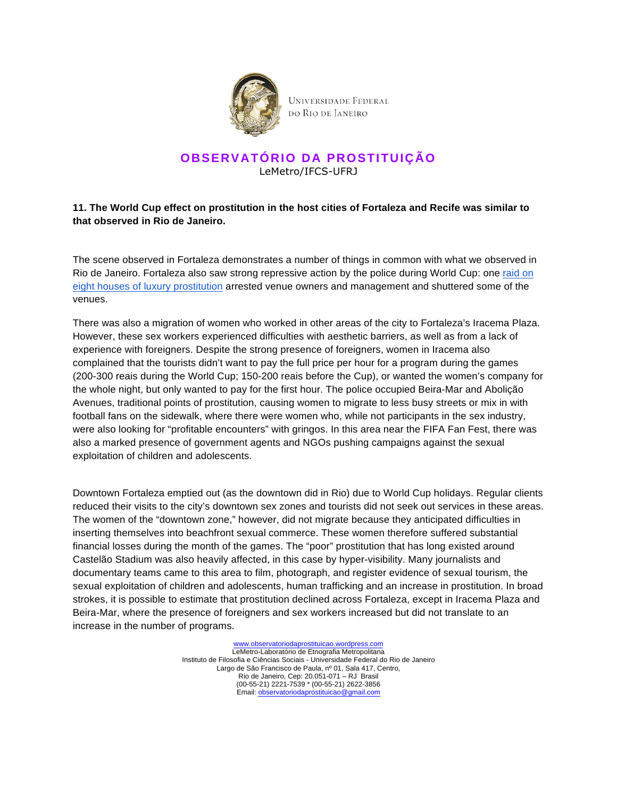

#### **OBSERVATÓRIO DA PROSTITUIÇÃO** LeMetro/IFCS-UFRJ

#### **11. The World Cup effect on prostitution in the host cities of Fortaleza and Recife was similar to that observed in Rio de Janeiro.**

The scene observed in Fortaleza demonstrates a number of things in common with what we observed in Rio de Janeiro. Fortaleza also saw strong repressive action by the police during World Cup: one raid on eight houses of luxury prostitution arrested venue owners and management and shuttered some of the venues.

There was also a migration of women who worked in other areas of the city to Fortaleza's Iracema Plaza. However, these sex workers experienced difficulties with aesthetic barriers, as well as from a lack of experience with foreigners. Despite the strong presence of foreigners, women in Iracema also complained that the tourists didn't want to pay the full price per hour for a program during the games (200-300 reais during the World Cup; 150-200 reais before the Cup), or wanted the women's company for the whole night, but only wanted to pay for the first hour. The police occupied Beira-Mar and Abolição Avenues, traditional points of prostitution, causing women to migrate to less busy streets or mix in with football fans on the sidewalk, where there were women who, while not participants in the sex industry, were also looking for "profitable encounters" with gringos. In this area near the FIFA Fan Fest, there was also a marked presence of government agents and NGOs pushing campaigns against the sexual exploitation of children and adolescents.

Downtown Fortaleza emptied out (as the downtown did in Rio) due to World Cup holidays. Regular clients reduced their visits to the city's downtown sex zones and tourists did not seek out services in these areas. The women of the "downtown zone," however, did not migrate because they anticipated difficulties in inserting themselves into beachfront sexual commerce. These women therefore suffered substantial financial losses during the month of the games. The "poor" prostitution that has long existed around Castelão Stadium was also heavily affected, in this case by hyper-visibility. Many journalists and documentary teams came to this area to film, photograph, and register evidence of sexual tourism, the sexual exploitation of children and adolescents, human trafficking and an increase in prostitution. In broad strokes, it is possible to estimate that prostitution declined across Fortaleza, except in Iracema Plaza and Beira-Mar, where the presence of foreigners and sex workers increased but did not translate to an increase in the number of programs.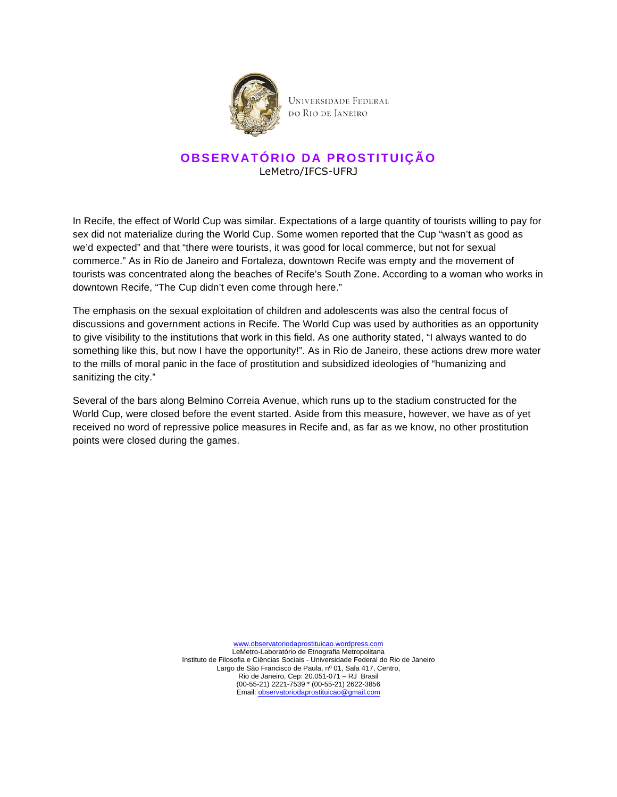

### **OBSERVATÓRIO DA PROSTITUIÇÃO** LeMetro/IFCS-UFRJ

In Recife, the effect of World Cup was similar. Expectations of a large quantity of tourists willing to pay for sex did not materialize during the World Cup. Some women reported that the Cup "wasn't as good as we'd expected" and that "there were tourists, it was good for local commerce, but not for sexual commerce." As in Rio de Janeiro and Fortaleza, downtown Recife was empty and the movement of tourists was concentrated along the beaches of Recife's South Zone. According to a woman who works in downtown Recife, "The Cup didn't even come through here."

The emphasis on the sexual exploitation of children and adolescents was also the central focus of discussions and government actions in Recife. The World Cup was used by authorities as an opportunity to give visibility to the institutions that work in this field. As one authority stated, "I always wanted to do something like this, but now I have the opportunity!". As in Rio de Janeiro, these actions drew more water to the mills of moral panic in the face of prostitution and subsidized ideologies of "humanizing and sanitizing the city."

Several of the bars along Belmino Correia Avenue, which runs up to the stadium constructed for the World Cup, were closed before the event started. Aside from this measure, however, we have as of yet received no word of repressive police measures in Recife and, as far as we know, no other prostitution points were closed during the games.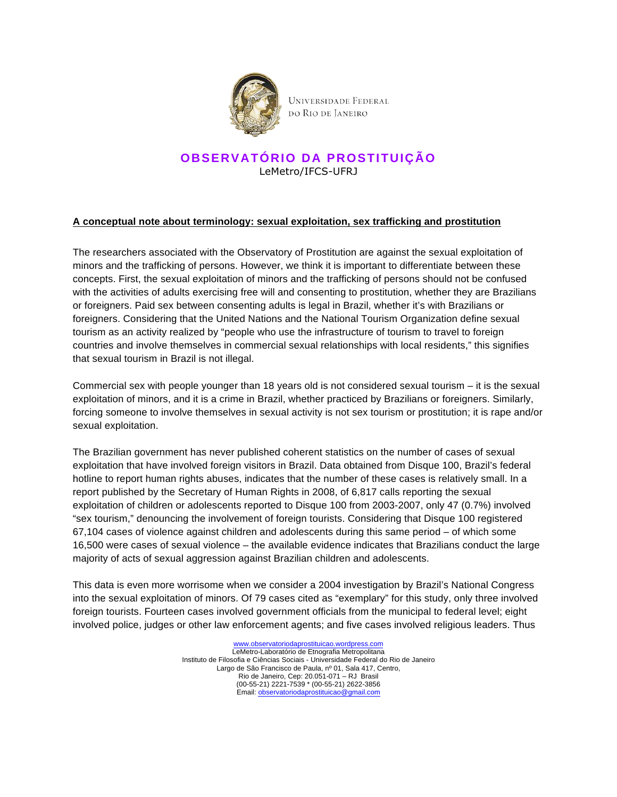

### **OBSERVATÓRIO DA PROSTITUIÇÃO** LeMetro/IFCS-UFRJ

#### **A conceptual note about terminology: sexual exploitation, sex trafficking and prostitution**

The researchers associated with the Observatory of Prostitution are against the sexual exploitation of minors and the trafficking of persons. However, we think it is important to differentiate between these concepts. First, the sexual exploitation of minors and the trafficking of persons should not be confused with the activities of adults exercising free will and consenting to prostitution, whether they are Brazilians or foreigners. Paid sex between consenting adults is legal in Brazil, whether it's with Brazilians or foreigners. Considering that the United Nations and the National Tourism Organization define sexual tourism as an activity realized by "people who use the infrastructure of tourism to travel to foreign countries and involve themselves in commercial sexual relationships with local residents," this signifies that sexual tourism in Brazil is not illegal.

Commercial sex with people younger than 18 years old is not considered sexual tourism – it is the sexual exploitation of minors, and it is a crime in Brazil, whether practiced by Brazilians or foreigners. Similarly, forcing someone to involve themselves in sexual activity is not sex tourism or prostitution; it is rape and/or sexual exploitation.

The Brazilian government has never published coherent statistics on the number of cases of sexual exploitation that have involved foreign visitors in Brazil. Data obtained from Disque 100, Brazil's federal hotline to report human rights abuses, indicates that the number of these cases is relatively small. In a report published by the Secretary of Human Rights in 2008, of 6,817 calls reporting the sexual exploitation of children or adolescents reported to Disque 100 from 2003-2007, only 47 (0.7%) involved "sex tourism," denouncing the involvement of foreign tourists. Considering that Disque 100 registered 67,104 cases of violence against children and adolescents during this same period – of which some 16,500 were cases of sexual violence – the available evidence indicates that Brazilians conduct the large majority of acts of sexual aggression against Brazilian children and adolescents.

This data is even more worrisome when we consider a 2004 investigation by Brazil's National Congress into the sexual exploitation of minors. Of 79 cases cited as "exemplary" for this study, only three involved foreign tourists. Fourteen cases involved government officials from the municipal to federal level; eight involved police, judges or other law enforcement agents; and five cases involved religious leaders. Thus